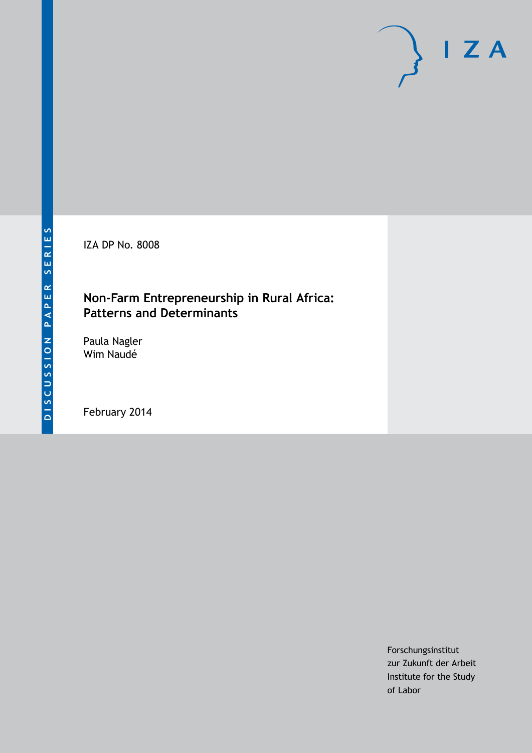IZA DP No. 8008

## **Non-Farm Entrepreneurship in Rural Africa: Patterns and Determinants**

Paula Nagler Wim Naudé

February 2014

Forschungsinstitut zur Zukunft der Arbeit Institute for the Study of Labor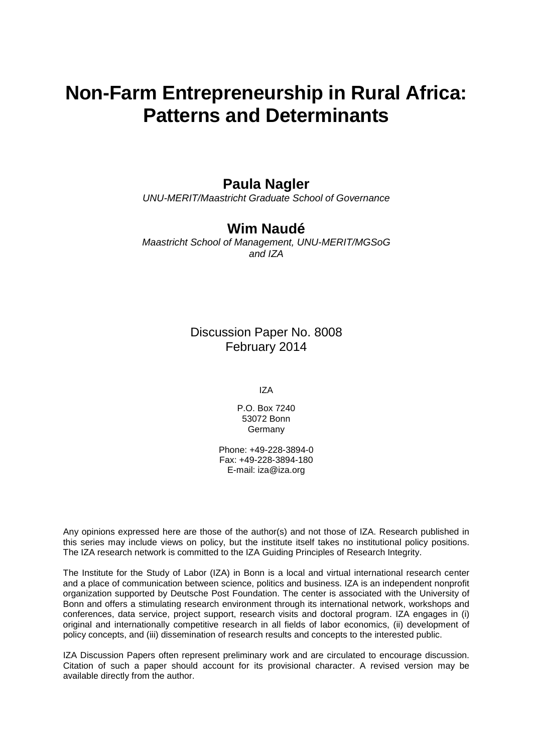# **Non-Farm Entrepreneurship in Rural Africa: Patterns and Determinants**

## **Paula Nagler**

*UNU-MERIT/Maastricht Graduate School of Governance*

## **Wim Naudé**

*Maastricht School of Management, UNU-MERIT/MGSoG and IZA*

> Discussion Paper No. 8008 February 2014

> > IZA

P.O. Box 7240 53072 Bonn Germany

Phone: +49-228-3894-0 Fax: +49-228-3894-180 E-mail: [iza@iza.org](mailto:iza@iza.org)

Any opinions expressed here are those of the author(s) and not those of IZA. Research published in this series may include views on policy, but the institute itself takes no institutional policy positions. The IZA research network is committed to the IZA Guiding Principles of Research Integrity.

The Institute for the Study of Labor (IZA) in Bonn is a local and virtual international research center and a place of communication between science, politics and business. IZA is an independent nonprofit organization supported by Deutsche Post Foundation. The center is associated with the University of Bonn and offers a stimulating research environment through its international network, workshops and conferences, data service, project support, research visits and doctoral program. IZA engages in (i) original and internationally competitive research in all fields of labor economics, (ii) development of policy concepts, and (iii) dissemination of research results and concepts to the interested public.

IZA Discussion Papers often represent preliminary work and are circulated to encourage discussion. Citation of such a paper should account for its provisional character. A revised version may be available directly from the author.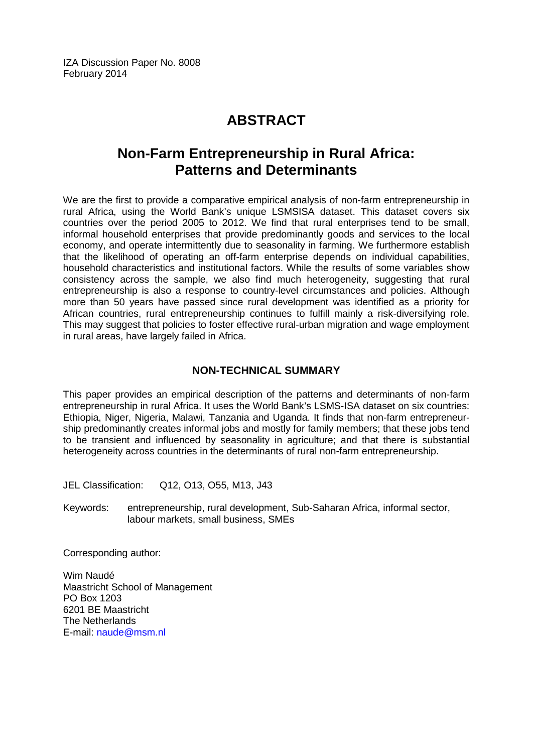## **ABSTRACT**

## **Non-Farm Entrepreneurship in Rural Africa: Patterns and Determinants**

We are the first to provide a comparative empirical analysis of non-farm entrepreneurship in rural Africa, using the World Bank's unique LSMSISA dataset. This dataset covers six countries over the period 2005 to 2012. We find that rural enterprises tend to be small, informal household enterprises that provide predominantly goods and services to the local economy, and operate intermittently due to seasonality in farming. We furthermore establish that the likelihood of operating an off-farm enterprise depends on individual capabilities, household characteristics and institutional factors. While the results of some variables show consistency across the sample, we also find much heterogeneity, suggesting that rural entrepreneurship is also a response to country-level circumstances and policies. Although more than 50 years have passed since rural development was identified as a priority for African countries, rural entrepreneurship continues to fulfill mainly a risk-diversifying role. This may suggest that policies to foster effective rural-urban migration and wage employment in rural areas, have largely failed in Africa.

### **NON-TECHNICAL SUMMARY**

This paper provides an empirical description of the patterns and determinants of non-farm entrepreneurship in rural Africa. It uses the World Bank's LSMS-ISA dataset on six countries: Ethiopia, Niger, Nigeria, Malawi, Tanzania and Uganda. It finds that non-farm entrepreneurship predominantly creates informal jobs and mostly for family members; that these jobs tend to be transient and influenced by seasonality in agriculture; and that there is substantial heterogeneity across countries in the determinants of rural non-farm entrepreneurship.

JEL Classification: Q12, O13, O55, M13, J43

Keywords: entrepreneurship, rural development, Sub-Saharan Africa, informal sector, labour markets, small business, SMEs

Corresponding author:

Wim Naudé Maastricht School of Management PO Box 1203 6201 BE Maastricht The Netherlands E-mail: [naude@msm.nl](mailto:naude@msm.nl)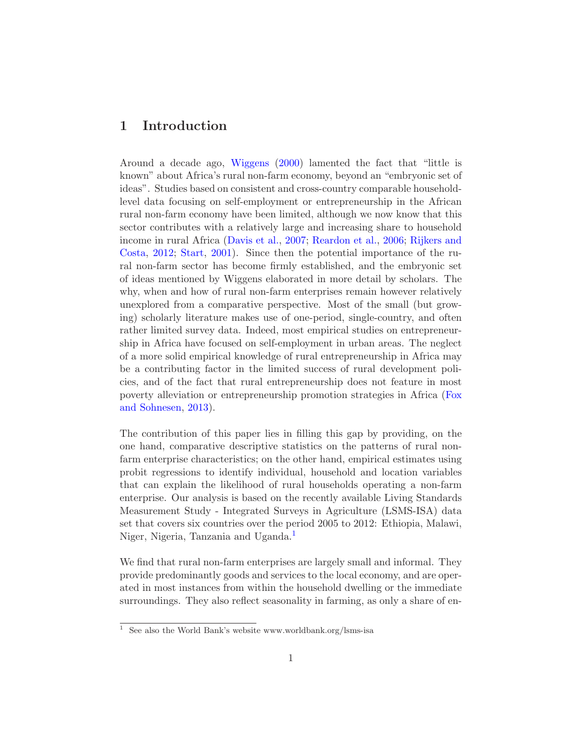## 1 Introduction

Around a decade ago, [Wiggens](#page-29-0) [\(2000](#page-29-0)) lamented the fact that "little is known" about Africa's rural non-farm economy, beyond an "embryonic set of ideas". Studies based on consistent and cross-country comparable householdlevel data focusing on self-employment or entrepreneurship in the African rural non-farm economy have been limited, although we now know that this sector contributes with a relatively large and increasing share to household inco[me in rural Africa](#page-28-1) [\(Davis et al.,](#page-27-0) [2007;](#page-27-0) [Reardon et al.,](#page-28-0) [2006;](#page-28-0) Rijkers and Costa, [2012;](#page-28-1) [Start,](#page-29-1) [2001\)](#page-29-1). Since then the potential importance of the rural non-farm sector has become firmly established, and the embryonic set of ideas mentioned by Wiggens elaborated in more detail by scholars. The why, when and how of rural non-farm enterprises remain however relatively unexplored from a comparative perspective. Most of the small (but growing) scholarly literature makes use of one-period, single-country, and often rather limited survey data. Indeed, most empirical studies on entrepreneurship in Africa have focused on self-employment in urban areas. The neglect of a more solid empirical knowledge of rural entrepreneurship in Africa may be a contributing factor in the limited success of rural development policies, and of the fact that rural entrepreneurship does not feature in most poverty allevi[ation or entrepreneurship promotion strategies in Africa \(](#page-28-2)Fox and Sohnesen, [2013](#page-28-2)).

The contribution of this paper lies in filling this gap by providing, on the one hand, comparative descriptive statistics on the patterns of rural nonfarm enterprise characteristics; on the other hand, empirical estimates using probit regressions to identify individual, household and location variables that can explain the likelihood of rural households operating a non-farm enterprise. Our analysis is based on the recently available Living Standards Measurement Study - Integrated Surveys in Agriculture (LSMS-ISA) data set that covers six countries over the period 2005 to 2012: Ethiopia, Malawi, Niger, Nigeria, Tanzania and Uganda.<sup>[1](#page-3-0)</sup>

We find that rural non-farm enterprises are largely small and informal. They provide predominantly goods and services to the local economy, and are operated in most instances from within the household dwelling or the immediate surroundings. They also reflect seasonality in farming, as only a share of en-

<span id="page-3-0"></span><sup>&</sup>lt;sup>1</sup> See also the World Bank's website www.worldbank.org/lsms-isa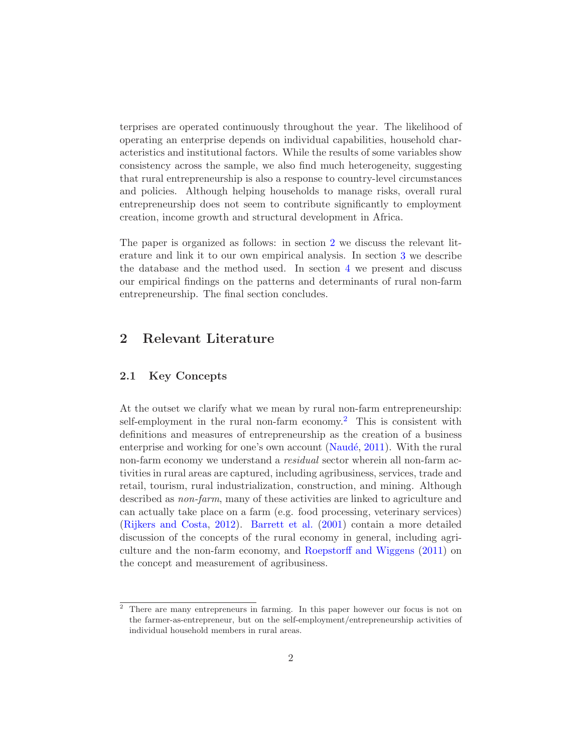terprises are operated continuously throughout the year. The likelihood of operating an enterprise depends on individual capabilities, household characteristics and institutional factors. While the results of some variables show consistency across the sample, we also find much heterogeneity, suggesting that rural entrepreneurship is also a response to country-level circumstances and policies. Although helping households to manage risks, overall rural entrepreneurship does not seem to contribute significantly to employment creation, income growth and structural development in Africa.

The paper is organized as follows: in section [2](#page-4-0) we discuss the relevant literature and link it to our own empirical analysis. In section [3](#page-9-0) we describe the database and the method used. In section [4](#page-11-0) we present and discuss our empirical findings on the patterns and determinants of rural non-farm entrepreneurship. The final section concludes.

### <span id="page-4-0"></span>2 Relevant Literature

#### 2.1 Key Concepts

At the outset we clarify what we mean by rural non-farm entrepreneurship: self-employment in the rural non-farm economy.<sup>[2](#page-4-1)</sup> This is consistent with definitions and measures of entrepreneurship as the creation of a business enterprise and working for one's own account (Naudé, [2011\)](#page-28-3). With the rural non-farm economy we understand a *residual* sector wherein all non-farm activities in rural areas are captured, including agribusiness, services, trade and retail, tourism, rural industrialization, construction, and mining. Although described as *non-farm*, many of these activities are linked to agriculture and can actually take place on a farm (e.g. food processing, veterinary services) [\(Rijkers and Costa](#page-28-1), [2012](#page-28-1)). [Barrett et al.](#page-27-1) [\(2001\)](#page-27-1) contain a more detailed discussion of the concepts of the rural economy in general, including agriculture and the non-farm economy, and [Roepstorff and Wiggens](#page-28-4) [\(2011](#page-28-4)) on the concept and measurement of agribusiness.

<span id="page-4-1"></span><sup>2</sup> There are many entrepreneurs in farming. In this paper however our focus is not on the farmer-as-entrepreneur, but on the self-employment/entrepreneurship activities of individual household members in rural areas.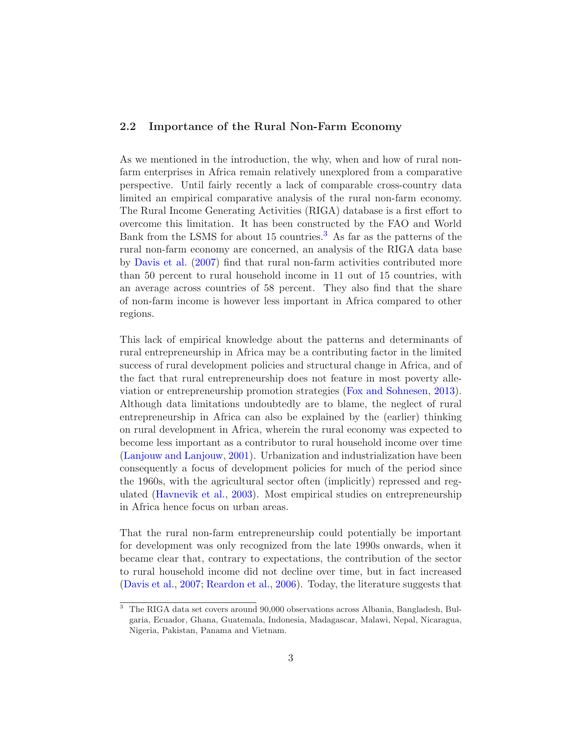#### 2.2 Importance of the Rural Non-Farm Economy

As we mentioned in the introduction, the why, when and how of rural nonfarm enterprises in Africa remain relatively unexplored from a comparative perspective. Until fairly recently a lack of comparable cross-country data limited an empirical comparative analysis of the rural non-farm economy. The Rural Income Generating Activities (RIGA) database is a first effort to overcome this limitation. It has been constructed by the FAO and World Bank from the LSMS for about 15 countries.[3](#page-5-0) As far as the patterns of the rural non-farm economy are concerned, an analysis of the RIGA data base by [Davis et al.](#page-27-0) [\(2007](#page-27-0)) find that rural non-farm activities contributed more than 50 percent to rural household income in 11 out of 15 countries, with an average across countries of 58 percent. They also find that the share of non-farm income is however less important in Africa compared to other regions.

This lack of empirical knowledge about the patterns and determinants of rural entrepreneurship in Africa may be a contributing factor in the limited success of rural development policies and structural change in Africa, and of the fact that rural entrepreneurship does not feature in most poverty alleviation or entrepreneurship promotion strategies [\(Fox and Sohnesen](#page-28-2), [2013\)](#page-28-2). Although data limitations undoubtedly are to blame, the neglect of rural entrepreneurship in Africa can also be explained by the (earlier) thinking on rural development in Africa, wherein the rural economy was expected to become less important as a contributor to rural household income over time [\(Lanjouw and Lanjouw,](#page-28-5) [2001](#page-28-5)). Urbanization and industrialization have been consequently a focus of development policies for much of the period since the 1960s, with the agricultural sector often (implicitly) repressed and regulated [\(Havnevik et al.,](#page-28-6) [2003\)](#page-28-6). Most empirical studies on entrepreneurship in Africa hence focus on urban areas.

That the rural non-farm entrepreneurship could potentially be important for development was only recognized from the late 1990s onwards, when it became clear that, contrary to expectations, the contribution of the sector to rural household income did not decline over time, but in fact increased [\(Davis et al.](#page-27-0), [2007](#page-27-0); [Reardon et al.,](#page-28-0) [2006\)](#page-28-0). Today, the literature suggests that

<span id="page-5-0"></span><sup>3</sup> The RIGA data set covers around 90,000 observations across Albania, Bangladesh, Bulgaria, Ecuador, Ghana, Guatemala, Indonesia, Madagascar, Malawi, Nepal, Nicaragua, Nigeria, Pakistan, Panama and Vietnam.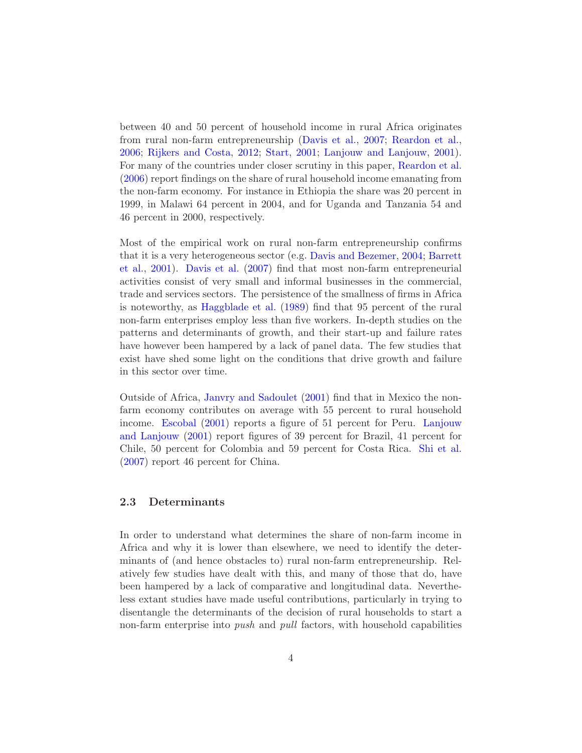between 40 and 50 percent of household income in rural Africa originates from rural non-farm entrepreneurship [\(Davis et al.,](#page-27-0) [2007;](#page-27-0) [Reardon et al.,](#page-28-0) [2006;](#page-28-0) [Rijkers and Costa,](#page-28-1) [2012](#page-28-1); [Start](#page-29-1), [2001](#page-29-1); [Lanjouw and Lanjouw](#page-28-5), [2001\)](#page-28-5). For many of the countries under closer scrutiny in this paper, [Reardon et al.](#page-28-0) [\(2006](#page-28-0)) report findings on the share of rural household income emanating from the non-farm economy. For instance in Ethiopia the share was 20 percent in 1999, in Malawi 64 percent in 2004, and for Uganda and Tanzania 54 and 46 percent in 2000, respectively.

Most of the empirical work on rural non-farm entrepreneurship confirms that [it is a very heterogeneous sector \(e.g.](#page-27-1) [Davis and Bezemer,](#page-27-2) [2004;](#page-27-2) Barrett et al., [2001\)](#page-27-1). [Davis et al.](#page-27-0) [\(2007](#page-27-0)) find that most non-farm entrepreneurial activities consist of very small and informal businesses in the commercial, trade and services sectors. The persistence of the smallness of firms in Africa is noteworthy, as [Haggblade et al.](#page-28-7) [\(1989\)](#page-28-7) find that 95 percent of the rural non-farm enterprises employ less than five workers. In-depth studies on the patterns and determinants of growth, and their start-up and failure rates have however been hampered by a lack of panel data. The few studies that exist have shed some light on the conditions that drive growth and failure in this sector over time.

Outside of Africa, [Janvry and Sadoulet](#page-28-8) [\(2001\)](#page-28-8) find that in Mexico the nonfarm economy contributes on average with 55 percent to rural household income. [Escobal](#page-27-3) [\(2001](#page-27-3)[\) reports a figure of 51 percent for Peru.](#page-28-5) Lanjouw and Lanjouw [\(2001](#page-28-5)) report figures of 39 percent for Brazil, 41 percent for Chile, 50 percent for Colombia and 59 percent for Costa Rica. [Shi et al.](#page-28-9) [\(2007](#page-28-9)) report 46 percent for China.

#### 2.3 Determinants

In order to understand what determines the share of non-farm income in Africa and why it is lower than elsewhere, we need to identify the determinants of (and hence obstacles to) rural non-farm entrepreneurship. Relatively few studies have dealt with this, and many of those that do, have been hampered by a lack of comparative and longitudinal data. Nevertheless extant studies have made useful contributions, particularly in trying to disentangle the determinants of the decision of rural households to start a non-farm enterprise into *push* and *pull* factors, with household capabilities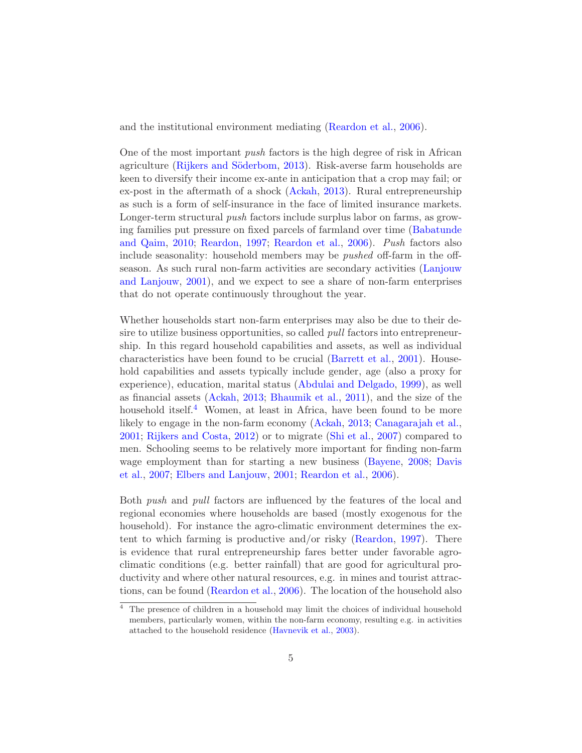and the institutional environment mediating [\(Reardon et al.,](#page-28-0) [2006](#page-28-0)).

One of the most important *push* factors is the high degree of risk in African agriculture (Rijkers and Söderbom, [2013](#page-28-10)). Risk-averse farm households are keen to diversify their income ex-ante in anticipation that a crop may fail; or ex-post in the aftermath of a shock [\(Ackah,](#page-27-4) [2013](#page-27-4)). Rural entrepreneurship as such is a form of self-insurance in the face of limited insurance markets. Longer-term structural *push* factors include surplus labor on farms, as growing famili[es put pressure on fixed parcels of farmland over time \(](#page-27-5)Babatunde and Qaim, [2010;](#page-27-5) [Reardon](#page-28-11), [1997;](#page-28-11) [Reardon et al.](#page-28-0), [2006\)](#page-28-0). *Push* factors also include seasonality: household members may be *pushed* off-farm in the offseason. As s[uch rural non-farm activities are secondary activities \(](#page-28-5)Lanjouw and Lanjouw, [2001\)](#page-28-5), and we expect to see a share of non-farm enterprises that do not operate continuously throughout the year.

Whether households start non-farm enterprises may also be due to their desire to utilize business opportunities, so called *pull* factors into entrepreneurship. In this regard household capabilities and assets, as well as individual characteristics have been found to be crucial [\(Barrett et al.,](#page-27-1) [2001\)](#page-27-1). Household capabilities and assets typically include gender, age (also a proxy for experience), education, marital status [\(Abdulai and Delgado](#page-27-6), [1999](#page-27-6)), as well as financial assets [\(Ackah,](#page-27-4) [2013;](#page-27-4) [Bhaumik et al.](#page-27-7), [2011](#page-27-7)), and the size of the household itself.<sup>[4](#page-7-0)</sup> Women, at least in Africa, have been found to be more likely to engage in the non-farm economy [\(Ackah,](#page-27-4) [2013;](#page-27-4) [Canagarajah et al.,](#page-27-8) [2001;](#page-27-8) [Rijkers and Costa,](#page-28-1) [2012](#page-28-1)) or to migrate [\(Shi et al.](#page-28-9), [2007\)](#page-28-9) compared to men. Schooling seems to be relatively more important for finding non-farm wage [employment than for starting a new business](#page-27-0) [\(Bayene](#page-27-9)[,](#page-27-0) [2008](#page-27-9); Davis et al., [2007;](#page-27-0) [Elbers and Lanjouw](#page-27-10), [2001;](#page-27-10) [Reardon et al.](#page-28-0), [2006\)](#page-28-0).

Both *push* and *pull* factors are influenced by the features of the local and regional economies where households are based (mostly exogenous for the household). For instance the agro-climatic environment determines the extent to which farming is productive and/or risky [\(Reardon,](#page-28-11) [1997](#page-28-11)). There is evidence that rural entrepreneurship fares better under favorable agroclimatic conditions (e.g. better rainfall) that are good for agricultural productivity and where other natural resources, e.g. in mines and tourist attractions, can be found [\(Reardon et al.,](#page-28-0) [2006](#page-28-0)). The location of the household also

<span id="page-7-0"></span><sup>4</sup> The presence of children in a household may limit the choices of individual household members, particularly women, within the non-farm economy, resulting e.g. in activities attached to the household residence [\(Havnevik et al.](#page-28-6), [2003](#page-28-6)).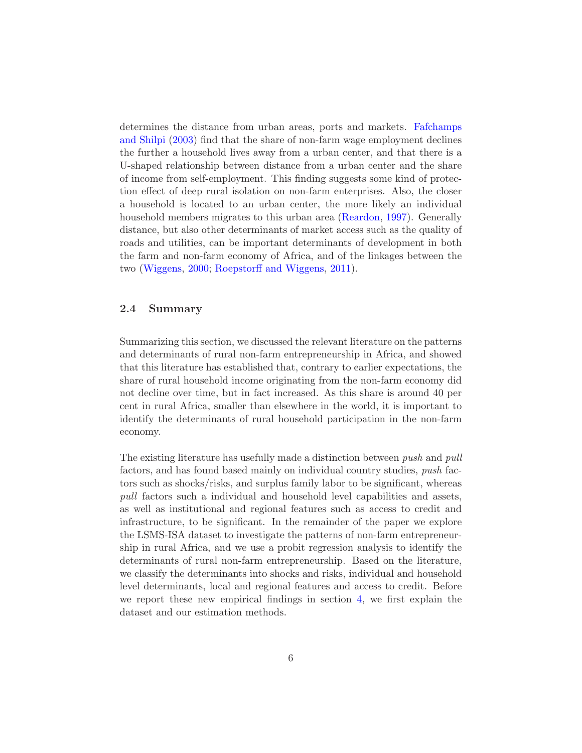determine[s the distance from urban areas, ports and markets.](#page-27-11) Fafchamps and Shilpi [\(2003](#page-27-11)) find that the share of non-farm wage employment declines the further a household lives away from a urban center, and that there is a U-shaped relationship between distance from a urban center and the share of income from self-employment. This finding suggests some kind of protection effect of deep rural isolation on non-farm enterprises. Also, the closer a household is located to an urban center, the more likely an individual household members migrates to this urban area [\(Reardon,](#page-28-11) [1997](#page-28-11)). Generally distance, but also other determinants of market access such as the quality of roads and utilities, can be important determinants of development in both the farm and non-farm economy of Africa, and of the linkages between the two [\(Wiggens](#page-29-0), [2000;](#page-29-0) [Roepstorff and Wiggens,](#page-28-4) [2011](#page-28-4)).

#### 2.4 Summary

Summarizing this section, we discussed the relevant literature on the patterns and determinants of rural non-farm entrepreneurship in Africa, and showed that this literature has established that, contrary to earlier expectations, the share of rural household income originating from the non-farm economy did not decline over time, but in fact increased. As this share is around 40 per cent in rural Africa, smaller than elsewhere in the world, it is important to identify the determinants of rural household participation in the non-farm economy.

The existing literature has usefully made a distinction between *push* and *pull* factors, and has found based mainly on individual country studies, *push* factors such as shocks/risks, and surplus family labor to be significant, whereas *pull* factors such a individual and household level capabilities and assets, as well as institutional and regional features such as access to credit and infrastructure, to be significant. In the remainder of the paper we explore the LSMS-ISA dataset to investigate the patterns of non-farm entrepreneurship in rural Africa, and we use a probit regression analysis to identify the determinants of rural non-farm entrepreneurship. Based on the literature, we classify the determinants into shocks and risks, individual and household level determinants, local and regional features and access to credit. Before we report these new empirical findings in section [4,](#page-11-0) we first explain the dataset and our estimation methods.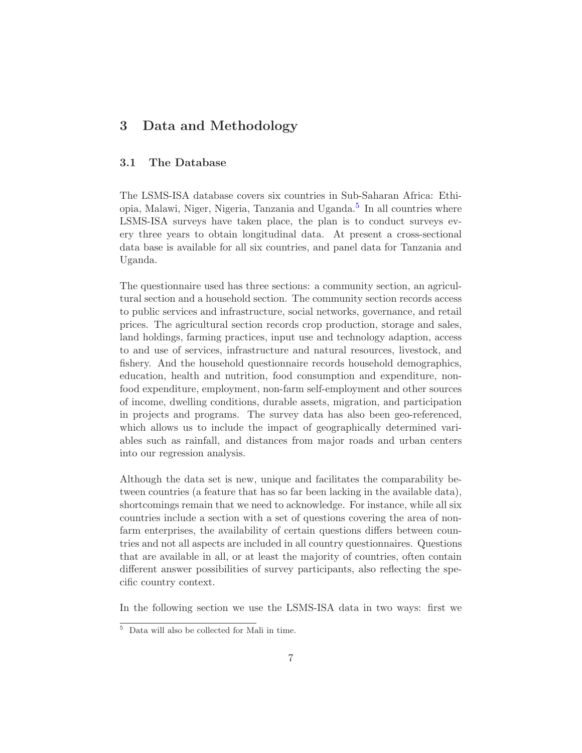### <span id="page-9-0"></span>3 Data and Methodology

#### 3.1 The Database

The LSMS-ISA database covers six countries in Sub-Saharan Africa: Ethi-opia, Malawi, Niger, Nigeria, Tanzania and Uganda.<sup>[5](#page-9-1)</sup> In all countries where LSMS-ISA surveys have taken place, the plan is to conduct surveys every three years to obtain longitudinal data. At present a cross-sectional data base is available for all six countries, and panel data for Tanzania and Uganda.

The questionnaire used has three sections: a community section, an agricultural section and a household section. The community section records access to public services and infrastructure, social networks, governance, and retail prices. The agricultural section records crop production, storage and sales, land holdings, farming practices, input use and technology adaption, access to and use of services, infrastructure and natural resources, livestock, and fishery. And the household questionnaire records household demographics, education, health and nutrition, food consumption and expenditure, nonfood expenditure, employment, non-farm self-employment and other sources of income, dwelling conditions, durable assets, migration, and participation in projects and programs. The survey data has also been geo-referenced, which allows us to include the impact of geographically determined variables such as rainfall, and distances from major roads and urban centers into our regression analysis.

Although the data set is new, unique and facilitates the comparability between countries (a feature that has so far been lacking in the available data), shortcomings remain that we need to acknowledge. For instance, while all six countries include a section with a set of questions covering the area of nonfarm enterprises, the availability of certain questions differs between countries and not all aspects are included in all country questionnaires. Questions that are available in all, or at least the majority of countries, often contain different answer possibilities of survey participants, also reflecting the specific country context.

In the following section we use the LSMS-ISA data in two ways: first we

<span id="page-9-1"></span> $\overline{5}$ Data will also be collected for Mali in time.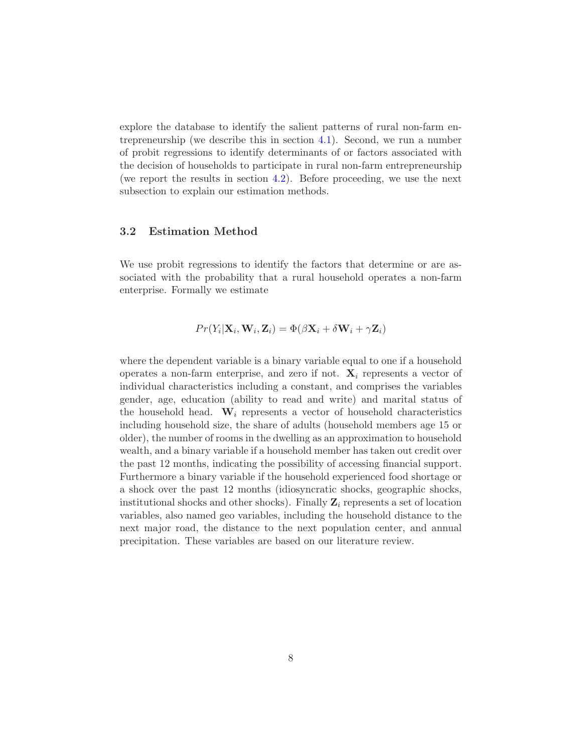explore the database to identify the salient patterns of rural non-farm entrepreneurship (we describe this in section [4.1\)](#page-11-1). Second, we run a number of probit regressions to identify determinants of or factors associated with the decision of households to participate in rural non-farm entrepreneurship (we report the results in section  $4.2$ ). Before proceeding, we use the next subsection to explain our estimation methods.

#### 3.2 Estimation Method

We use probit regressions to identify the factors that determine or are associated with the probability that a rural household operates a non-farm enterprise. Formally we estimate

$$
Pr(Y_i | \mathbf{X}_i, \mathbf{W}_i, \mathbf{Z}_i) = \Phi(\beta \mathbf{X}_i + \delta \mathbf{W}_i + \gamma \mathbf{Z}_i)
$$

where the dependent variable is a binary variable equal to one if a household operates a non-farm enterprise, and zero if not.  $\mathbf{X}_i$  represents a vector of individual characteristics including a constant, and comprises the variables gender, age, education (ability to read and write) and marital status of the household head.  $W_i$  represents a vector of household characteristics including household size, the share of adults (household members age 15 or older), the number of rooms in the dwelling as an approximation to household wealth, and a binary variable if a household member has taken out credit over the past 12 months, indicating the possibility of accessing financial support. Furthermore a binary variable if the household experienced food shortage or a shock over the past 12 months (idiosyncratic shocks, geographic shocks, institutional shocks and other shocks). Finally  $\mathbf{Z}_i$  represents a set of location variables, also named geo variables, including the household distance to the next major road, the distance to the next population center, and annual precipitation. These variables are based on our literature review.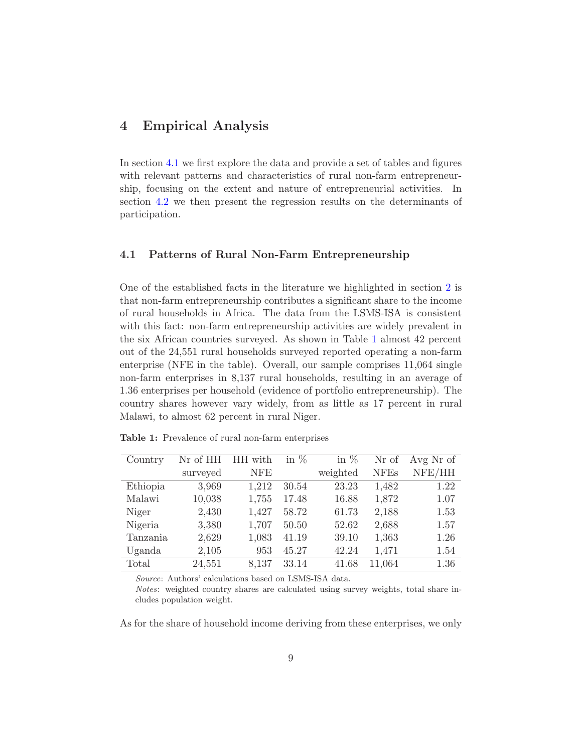### <span id="page-11-0"></span>4 Empirical Analysis

In section [4.1](#page-11-1) we first explore the data and provide a set of tables and figures with relevant patterns and characteristics of rural non-farm entrepreneurship, focusing on the extent and nature of entrepreneurial activities. In section [4.2](#page-16-0) we then present the regression results on the determinants of participation.

#### <span id="page-11-1"></span>4.1 Patterns of Rural Non-Farm Entrepreneurship

One of the established facts in the literature we highlighted in section [2](#page-4-0) is that non-farm entrepreneurship contributes a significant share to the income of rural households in Africa. The data from the LSMS-ISA is consistent with this fact: non-farm entrepreneurship activities are widely prevalent in the six African countries surveyed. As shown in Table [1](#page-11-2) almost 42 percent out of the 24,551 rural households surveyed reported operating a non-farm enterprise (NFE in the table). Overall, our sample comprises 11,064 single non-farm enterprises in 8,137 rural households, resulting in an average of 1.36 enterprises per household (evidence of portfolio entrepreneurship). The country shares however vary widely, from as little as 17 percent in rural Malawi, to almost 62 percent in rural Niger.

| Country  | Nr of HH | HH with    | in $%$ | in $%$   | Nr of       | Avg Nr of |
|----------|----------|------------|--------|----------|-------------|-----------|
|          | surveyed | <b>NFE</b> |        | weighted | <b>NFEs</b> | NFE/HH    |
| Ethiopia | 3,969    | 1,212      | 30.54  | 23.23    | 1,482       | 1.22      |
| Malawi   | 10,038   | 1,755      | 17.48  | 16.88    | 1,872       | 1.07      |
| Niger    | 2,430    | 1,427      | 58.72  | 61.73    | 2,188       | 1.53      |
| Nigeria  | 3,380    | 1,707      | 50.50  | 52.62    | 2,688       | 1.57      |
| Tanzania | 2,629    | 1,083      | 41.19  | 39.10    | 1,363       | 1.26      |
| Uganda   | 2,105    | 953        | 45.27  | 42.24    | 1,471       | 1.54      |
| Total    | 24,551   | 8,137      | 33.14  | 41.68    | 11,064      | 1.36      |

<span id="page-11-2"></span>Table 1: Prevalence of rural non-farm enterprises

Source: Authors' calculations based on LSMS-ISA data.

Notes: weighted country shares are calculated using survey weights, total share includes population weight.

As for the share of household income deriving from these enterprises, we only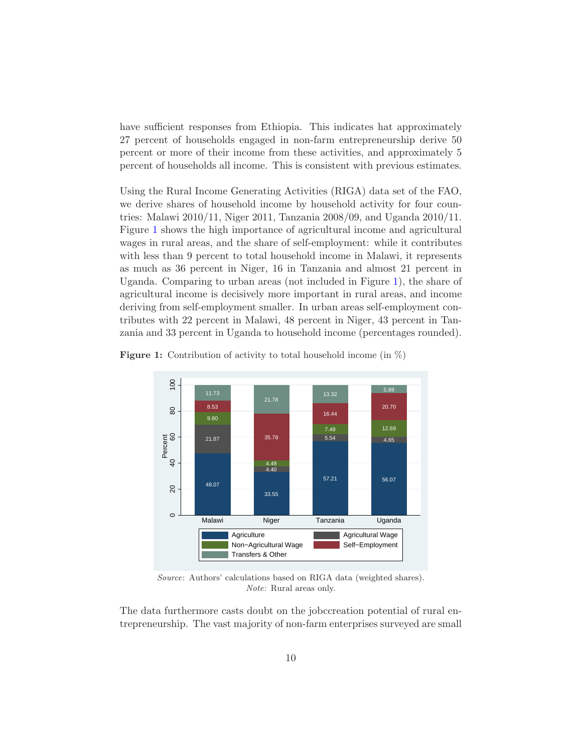have sufficient responses from Ethiopia. This indicates hat approximately 27 percent of households engaged in non-farm entrepreneurship derive 50 percent or more of their income from these activities, and approximately 5 percent of households all income. This is consistent with previous estimates.

Using the Rural Income Generating Activities (RIGA) data set of the FAO, we derive shares of household income by household activity for four countries: Malawi 2010/11, Niger 2011, Tanzania 2008/09, and Uganda 2010/11. Figure [1](#page-12-0) shows the high importance of agricultural income and agricultural wages in rural areas, and the share of self-employment: while it contributes with less than 9 percent to total household income in Malawi, it represents as much as 36 percent in Niger, 16 in Tanzania and almost 21 percent in Uganda. Comparing to urban areas (not included in Figure [1\)](#page-12-0), the share of agricultural income is decisively more important in rural areas, and income deriving from self-employment smaller. In urban areas self-employment contributes with 22 percent in Malawi, 48 percent in Niger, 43 percent in Tanzania and 33 percent in Uganda to household income (percentages rounded).

<span id="page-12-0"></span>**Figure 1:** Contribution of activity to total household income (in  $\%)$ )



Source: Authors' calculations based on RIGA data (weighted shares). Note: Rural areas only.

The data furthermore casts doubt on the jobccreation potential of rural entrepreneurship. The vast majority of non-farm enterprises surveyed are small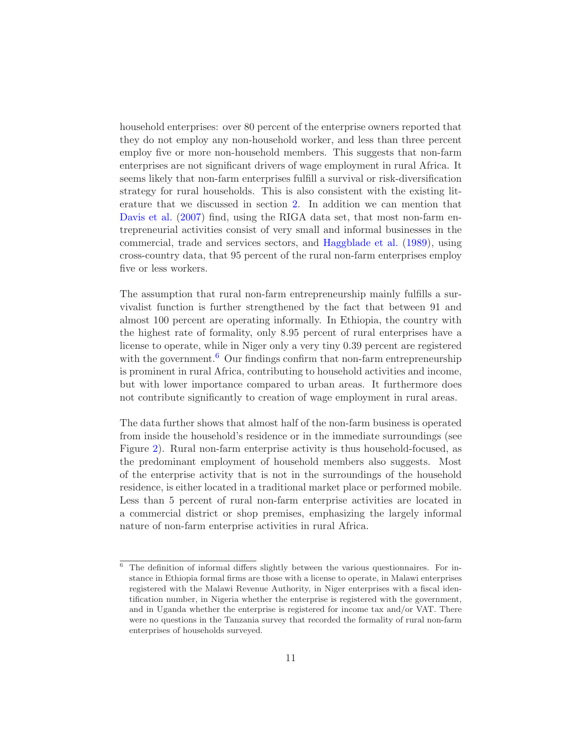household enterprises: over 80 percent of the enterprise owners reported that they do not employ any non-household worker, and less than three percent employ five or more non-household members. This suggests that non-farm enterprises are not significant drivers of wage employment in rural Africa. It seems likely that non-farm enterprises fulfill a survival or risk-diversification strategy for rural households. This is also consistent with the existing literature that we discussed in section [2.](#page-4-0) In addition we can mention that [Davis et al.](#page-27-0) [\(2007\)](#page-27-0) find, using the RIGA data set, that most non-farm entrepreneurial activities consist of very small and informal businesses in the commercial, trade and services sectors, and [Haggblade et al.](#page-28-7) [\(1989](#page-28-7)), using cross-country data, that 95 percent of the rural non-farm enterprises employ five or less workers.

The assumption that rural non-farm entrepreneurship mainly fulfills a survivalist function is further strengthened by the fact that between 91 and almost 100 percent are operating informally. In Ethiopia, the country with the highest rate of formality, only 8.95 percent of rural enterprises have a license to operate, while in Niger only a very tiny 0.39 percent are registered with the government.<sup>[6](#page-13-0)</sup> Our findings confirm that non-farm entrepreneurship is prominent in rural Africa, contributing to household activities and income, but with lower importance compared to urban areas. It furthermore does not contribute significantly to creation of wage employment in rural areas.

The data further shows that almost half of the non-farm business is operated from inside the household's residence or in the immediate surroundings (see Figure [2\)](#page-14-0). Rural non-farm enterprise activity is thus household-focused, as the predominant employment of household members also suggests. Most of the enterprise activity that is not in the surroundings of the household residence, is either located in a traditional market place or performed mobile. Less than 5 percent of rural non-farm enterprise activities are located in a commercial district or shop premises, emphasizing the largely informal nature of non-farm enterprise activities in rural Africa.

<span id="page-13-0"></span><sup>6</sup> The definition of informal differs slightly between the various questionnaires. For instance in Ethiopia formal firms are those with a license to operate, in Malawi enterprises registered with the Malawi Revenue Authority, in Niger enterprises with a fiscal identification number, in Nigeria whether the enterprise is registered with the government, and in Uganda whether the enterprise is registered for income tax and/or VAT. There were no questions in the Tanzania survey that recorded the formality of rural non-farm enterprises of households surveyed.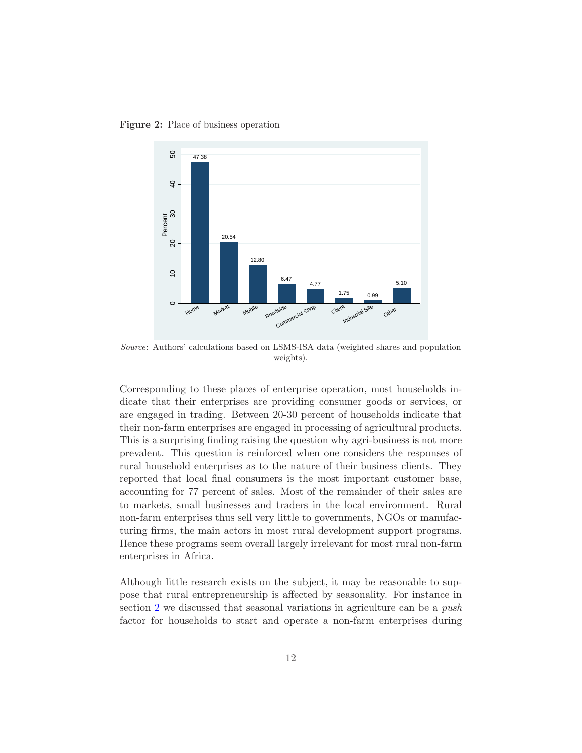<span id="page-14-0"></span>Figure 2: Place of business operation



Source: Authors' calculations based on LSMS-ISA data (weighted shares and population weights).

Corresponding to these places of enterprise operation, most households indicate that their enterprises are providing consumer goods or services, or are engaged in trading. Between 20-30 percent of households indicate that their non-farm enterprises are engaged in processing of agricultural products. This is a surprising finding raising the question why agri-business is not more prevalent. This question is reinforced when one considers the responses of rural household enterprises as to the nature of their business clients. They reported that local final consumers is the most important customer base, accounting for 77 percent of sales. Most of the remainder of their sales are to markets, small businesses and traders in the local environment. Rural non-farm enterprises thus sell very little to governments, NGOs or manufacturing firms, the main actors in most rural development support programs. Hence these programs seem overall largely irrelevant for most rural non-farm enterprises in Africa.

Although little research exists on the subject, it may be reasonable to suppose that rural entrepreneurship is affected by seasonality. For instance in section [2](#page-4-0) we discussed that seasonal variations in agriculture can be a *push* factor for households to start and operate a non-farm enterprises during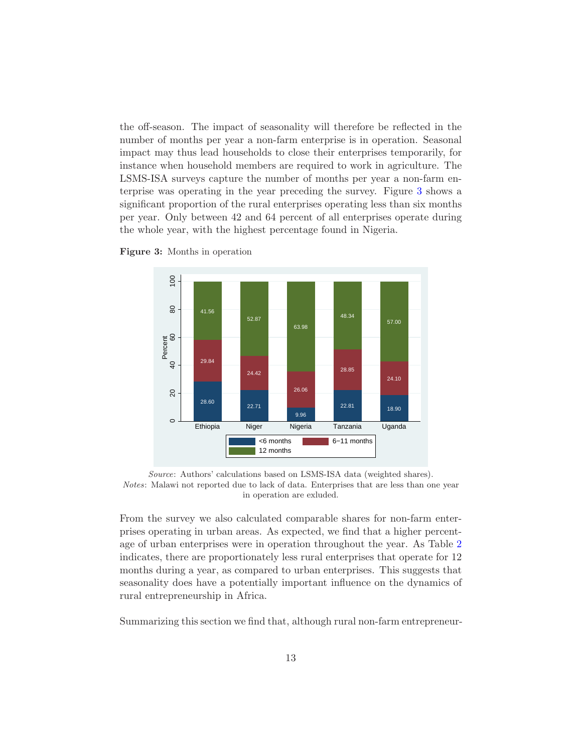the off-season. The impact of seasonality will therefore be reflected in the number of months per year a non-farm enterprise is in operation. Seasonal impact may thus lead households to close their enterprises temporarily, for instance when household members are required to work in agriculture. The LSMS-ISA surveys capture the number of months per year a non-farm enterprise was operating in the year preceding the survey. Figure [3](#page-15-0) shows a significant proportion of the rural enterprises operating less than six months per year. Only between 42 and 64 percent of all enterprises operate during the whole year, with the highest percentage found in Nigeria.



<span id="page-15-0"></span>Figure 3: Months in operation

Source: Authors' calculations based on LSMS-ISA data (weighted shares). Notes: Malawi not reported due to lack of data. Enterprises that are less than one year in operation are exluded.

From the survey we also calculated comparable shares for non-farm enterprises operating in urban areas. As expected, we find that a higher percentage of urban enterprises were in operation throughout the year. As Table [2](#page-16-1) indicates, there are proportionately less rural enterprises that operate for 12 months during a year, as compared to urban enterprises. This suggests that seasonality does have a potentially important influence on the dynamics of rural entrepreneurship in Africa.

Summarizing this section we find that, although rural non-farm entrepreneur-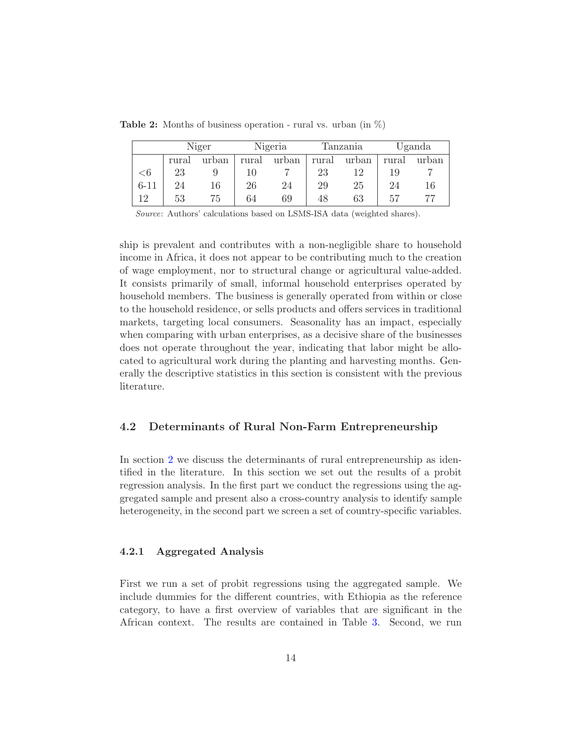<span id="page-16-1"></span>**Table 2:** Months of business operation - rural vs. urban (in  $\%$ )

<span id="page-16-2"></span>

|          |       | Niger |       | Nigeria |       | Tanzania  |       | Uganda |
|----------|-------|-------|-------|---------|-------|-----------|-------|--------|
|          | rural | urban | rural | urban   | rural | urban     | rural | urban  |
| $<$ 6    | 23    |       |       |         | 23    | 19        | 19    |        |
| $6 - 11$ | 24    | 16    | 26    | 24      | 29    | <b>25</b> | 24    | 16     |
| 19       | 53    | 75    | 64    | 69      | 48    | 63        | 57    | 77     |

Source: Authors' calculations based on LSMS-ISA data (weighted shares).

ship is prevalent and contributes with a non-negligible share to household income in Africa, it does not appear to be contributing much to the creation of wage employment, nor to structural change or agricultural value-added. It consists primarily of small, informal household enterprises operated by household members. The business is generally operated from within or close to the household residence, or sells products and offers services in traditional markets, targeting local consumers. Seasonality has an impact, especially when comparing with urban enterprises, as a decisive share of the businesses does not operate throughout the year, indicating that labor might be allocated to agricultural work during the planting and harvesting months. Generally the descriptive statistics in this section is consistent with the previous literature.

#### <span id="page-16-0"></span>4.2 Determinants of Rural Non-Farm Entrepreneurship

In section [2](#page-4-0) we discuss the determinants of rural entrepreneurship as identified in the literature. In this section we set out the results of a probit regression analysis. In the first part we conduct the regressions using the aggregated sample and present also a cross-country analysis to identify sample heterogeneity, in the second part we screen a set of country-specific variables.

#### 4.2.1 Aggregated Analysis

First we run a set of probit regressions using the aggregated sample. We include dummies for the different countries, with Ethiopia as the reference category, to have a first overview of variables that are significant in the African context. The results are contained in Table [3.](#page-18-0) Second, we run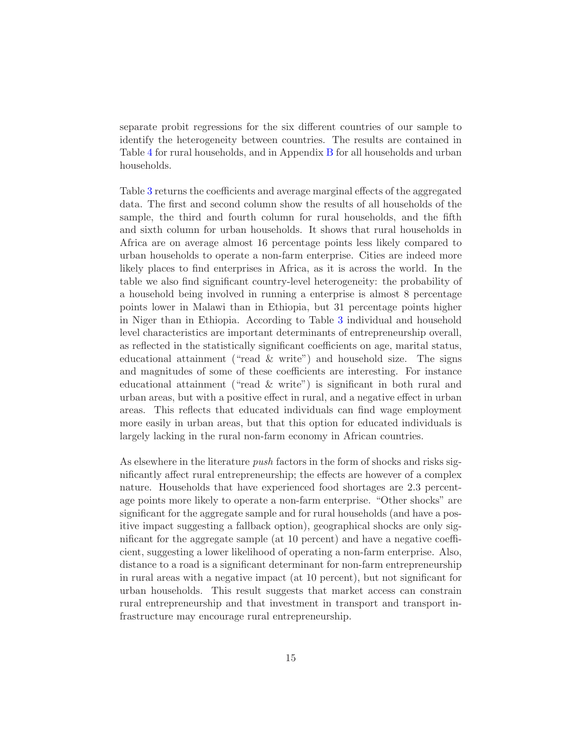separate probit regressions for the six different countries of our sample to identify the heterogeneity between countries. The results are contained in Table [4](#page-20-0) for rural households, and in Appendix [B](#page-33-0) for all households and urban households.

Table [3](#page-18-0) returns the coefficients and average marginal effects of the aggregated data. The first and second column show the results of all households of the sample, the third and fourth column for rural households, and the fifth and sixth column for urban households. It shows that rural households in Africa are on average almost 16 percentage points less likely compared to urban households to operate a non-farm enterprise. Cities are indeed more likely places to find enterprises in Africa, as it is across the world. In the table we also find significant country-level heterogeneity: the probability of a household being involved in running a enterprise is almost 8 percentage points lower in Malawi than in Ethiopia, but 31 percentage points higher in Niger than in Ethiopia. According to Table [3](#page-18-0) individual and household level characteristics are important determinants of entrepreneurship overall, as reflected in the statistically significant coefficients on age, marital status, educational attainment ("read  $\&$  write") and household size. The signs and magnitudes of some of these coefficients are interesting. For instance educational attainment ("read & write") is significant in both rural and urban areas, but with a positive effect in rural, and a negative effect in urban areas. This reflects that educated individuals can find wage employment more easily in urban areas, but that this option for educated individuals is largely lacking in the rural non-farm economy in African countries.

As elsewhere in the literature *push* factors in the form of shocks and risks significantly affect rural entrepreneurship; the effects are however of a complex nature. Households that have experienced food shortages are 2.3 percentage points more likely to operate a non-farm enterprise. "Other shocks" are significant for the aggregate sample and for rural households (and have a positive impact suggesting a fallback option), geographical shocks are only significant for the aggregate sample (at 10 percent) and have a negative coefficient, suggesting a lower likelihood of operating a non-farm enterprise. Also, distance to a road is a significant determinant for non-farm entrepreneurship in rural areas with a negative impact (at 10 percent), but not significant for urban households. This result suggests that market access can constrain rural entrepreneurship and that investment in transport and transport infrastructure may encourage rural entrepreneurship.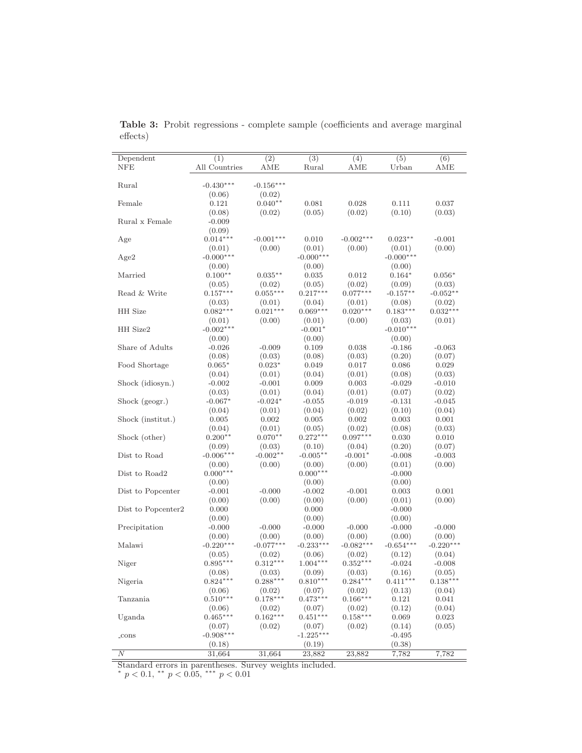| Dependent          | $\overline{(1)}$     | $\overline{(2)}$     | $\overline{(3)}$     | (4)                  | (5)                | (6)                  |
|--------------------|----------------------|----------------------|----------------------|----------------------|--------------------|----------------------|
| <b>NFE</b>         | All Countries        | AME                  | Rural                | AME                  | Urban              | $\operatorname{AME}$ |
|                    |                      |                      |                      |                      |                    |                      |
| Rural              | $-0.430***$          | $-0.156***$          |                      |                      |                    |                      |
|                    | (0.06)               | (0.02)               |                      |                      |                    |                      |
| Female             | 0.121                | $0.040**$            | 0.081                | 0.028                | 0.111              | 0.037                |
|                    | (0.08)               | (0.02)               | (0.05)               | (0.02)               | (0.10)             | (0.03)               |
| Rural x Female     | $-0.009$             |                      |                      |                      |                    |                      |
|                    | (0.09)               |                      |                      |                      |                    |                      |
| Age                | $0.014***$           | $-0.001***$          | 0.010                | $-0.002***$          | $0.023**$          | $-0.001$             |
|                    | (0.01)               | (0.00)               | (0.01)               | (0.00)               | (0.01)             | (0.00)               |
| Age2               | $-0.000***$          |                      | $-0.000***$          |                      | $-0.000***$        |                      |
|                    | (0.00)               |                      | (0.00)               |                      | (0.00)             |                      |
| Married            | $0.100**$            | $0.035**$            | 0.035                | 0.012                | $0.164*$           | $0.056*$             |
|                    | (0.05)               | (0.02)               | (0.05)               | (0.02)               | (0.09)             | (0.03)               |
| Read & Write       | $0.157***$           | $0.055***$           | $0.217***$           | $0.077***$           | $-0.157**$         | $-0.052**$           |
|                    | (0.03)               | (0.01)               | (0.04)               | (0.01)               | (0.08)             | (0.02)               |
| HH Size            | $0.082***$           | $0.021***$           | $0.069***$           | $0.020***$           | $0.183***$         | $0.032***$           |
|                    | (0.01)               | (0.00)               | (0.01)               | (0.00)               | (0.03)             | (0.01)               |
| HH Size2           | $-0.002***$          |                      | $-0.001*$            |                      | $-0.010***$        |                      |
|                    | (0.00)               |                      | (0.00)               |                      | (0.00)             |                      |
| Share of Adults    | $-0.026$             | $-0.009$             | 0.109                | 0.038                | $-0.186$           | $-0.063$             |
|                    | (0.08)               | (0.03)               | (0.08)               | (0.03)               | (0.20)             | (0.07)               |
| Food Shortage      | $0.065*$             | $0.023*$             | 0.049                | 0.017                | 0.086              | 0.029                |
|                    | (0.04)               | (0.01)               | (0.04)               | (0.01)               | (0.08)             | (0.03)               |
| Shock (idiosyn.)   | $-0.002$             | $-0.001$             | 0.009                | 0.003                | $-0.029$           | $-0.010$             |
|                    | (0.03)               | (0.01)               | (0.04)               | (0.01)               | (0.07)             | (0.02)               |
| Shock (geogr.)     | $-0.067*$            | $-0.024*$            | $-0.055$             | $-0.019$             | $-0.131$           | $-0.045$             |
|                    | (0.04)               | (0.01)               | (0.04)               | (0.02)               | (0.10)             | (0.04)               |
| Shock (institut.)  | 0.005                | 0.002                | 0.005                | 0.002                | 0.003              | 0.001                |
|                    | (0.04)               | (0.01)               | (0.05)               | (0.02)               | (0.08)             | (0.03)               |
| Shock (other)      | $0.200**$            | $0.070**$            | $0.272***$           | $0.097***$           | 0.030              | 0.010                |
|                    | (0.09)               | (0.03)               | (0.10)               | (0.04)               | (0.20)             | (0.07)               |
| Dist to Road       | $-0.006***$          | $-0.002**$           | $-0.005**$           | $-0.001*$            | $-0.008$           | $-0.003$             |
|                    | (0.00)               | (0.00)               | (0.00)               | (0.00)               | (0.01)             | (0.00)               |
| Dist to Road2      | $0.000***$           |                      | $0.000***$           |                      | $-0.000$           |                      |
|                    | (0.00)               |                      | (0.00)               |                      | (0.00)             |                      |
| Dist to Popcenter  | $-0.001$             | $-0.000$             | $-0.002$             | $-0.001$             | 0.003              | 0.001                |
|                    | (0.00)               | (0.00)               | (0.00)               | (0.00)               | (0.01)             | (0.00)               |
| Dist to Popcenter2 | 0.000                |                      | 0.000                |                      | $-0.000$           |                      |
|                    | (0.00)               |                      | (0.00)               |                      | (0.00)             |                      |
| Precipitation      | $-0.000$             | $-0.000$             | $-0.000$             | $-0.000$             | $-0.000$           | $-0.000$             |
|                    | (0.00)               | (0.00)               | (0.00)               | (0.00)               | (0.00)             | (0.00)               |
| Malawi             | $-0.220***$          | $-0.077***$          | $-0.233***$          | $-0.082***$          | $-0.654***$        | $-0.220***$          |
|                    |                      |                      |                      | (0.02)               |                    |                      |
|                    | (0.05)<br>$0.895***$ | (0.02)<br>$0.312***$ | (0.06)<br>$1.004***$ | $0.352***$           | (0.12)<br>$-0.024$ | (0.04)<br>$-0.008$   |
| Niger              |                      |                      |                      |                      |                    |                      |
|                    | (0.08)               | (0.03)               | (0.09)               | (0.03)<br>$0.284***$ | (0.16)             | (0.05)               |
| Nigeria            | $0.824***$           | $0.288***$           | $0.810***$           |                      | $0.411***$         | $0.138***$           |
|                    | (0.06)               | (0.02)               | (0.07)               | (0.02)               | (0.13)             | (0.04)               |
| Tanzania           | $0.510***$           | $0.178***$           | $0.473***$           | $0.166***$           | 0.121              | 0.041                |
|                    | (0.06)               | (0.02)               | (0.07)               | (0.02)               | (0.12)             | (0.04)               |
| Uganda             | $0.465***$           | $0.162***$           | $0.451***$           | $0.158***$           | 0.069              | 0.023                |
|                    | (0.07)               | (0.02)               | (0.07)               | (0.02)               | (0.14)             | (0.05)               |
| $\_cons$           | $-0.908***$          |                      | $-1.225***$          |                      | $-0.495$           |                      |
|                    | (0.18)               |                      | (0.19)               |                      | (0.38)             |                      |
| N                  | 31,664               | 31,664               | 23,882               | 23,882               | 7,782              | 7,782                |

<span id="page-18-0"></span>Table 3: Probit regressions - complete sample (coefficients and average marginal effects)

Standard errors in parentheses. Survey weights included.<br>\*  $p < 0.1$ , \*\*  $p < 0.05$ , \*\*\*  $p < 0.01$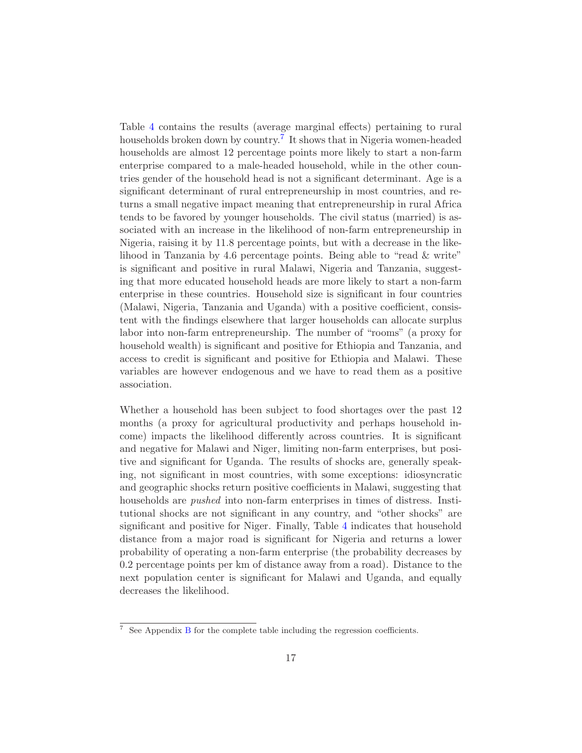Table [4](#page-20-0) contains the results (average marginal effects) pertaining to rural households broken down by country.<sup>[7](#page-19-0)</sup> It shows that in Nigeria women-headed households are almost 12 percentage points more likely to start a non-farm enterprise compared to a male-headed household, while in the other countries gender of the household head is not a significant determinant. Age is a significant determinant of rural entrepreneurship in most countries, and returns a small negative impact meaning that entrepreneurship in rural Africa tends to be favored by younger households. The civil status (married) is associated with an increase in the likelihood of non-farm entrepreneurship in Nigeria, raising it by 11.8 percentage points, but with a decrease in the likelihood in Tanzania by 4.6 percentage points. Being able to "read & write" is significant and positive in rural Malawi, Nigeria and Tanzania, suggesting that more educated household heads are more likely to start a non-farm enterprise in these countries. Household size is significant in four countries (Malawi, Nigeria, Tanzania and Uganda) with a positive coefficient, consistent with the findings elsewhere that larger households can allocate surplus labor into non-farm entrepreneurship. The number of "rooms" (a proxy for household wealth) is significant and positive for Ethiopia and Tanzania, and access to credit is significant and positive for Ethiopia and Malawi. These variables are however endogenous and we have to read them as a positive association.

Whether a household has been subject to food shortages over the past 12 months (a proxy for agricultural productivity and perhaps household income) impacts the likelihood differently across countries. It is significant and negative for Malawi and Niger, limiting non-farm enterprises, but positive and significant for Uganda. The results of shocks are, generally speaking, not significant in most countries, with some exceptions: idiosyncratic and geographic shocks return positive coefficients in Malawi, suggesting that households are *pushed* into non-farm enterprises in times of distress. Institutional shocks are not significant in any country, and "other shocks" are significant and positive for Niger. Finally, Table [4](#page-20-0) indicates that household distance from a major road is significant for Nigeria and returns a lower probability of operating a non-farm enterprise (the probability decreases by 0.2 percentage points per km of distance away from a road). Distance to the next population center is significant for Malawi and Uganda, and equally decreases the likelihood.

<span id="page-19-0"></span> $7$  See Appendix [B](#page-33-0) for the complete table including the regression coefficients.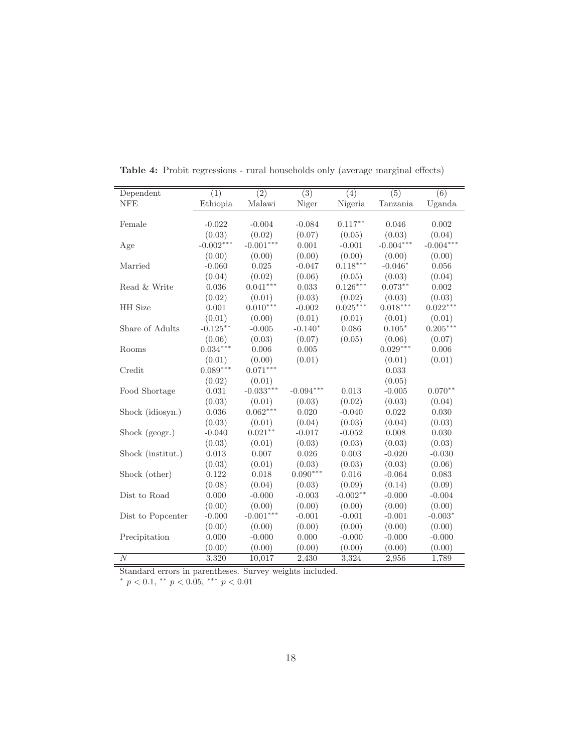| Dependent         | $\overline{(1)}$ | $\overline{(2)}$ | $\overline{(3)}$ | $\overline{(4)}$ | $\overline{(5)}$ | $\overline{(6)}$ |
|-------------------|------------------|------------------|------------------|------------------|------------------|------------------|
| <b>NFE</b>        | Ethiopia         | Malawi           | Niger            | Nigeria          | Tanzania         | Uganda           |
|                   |                  |                  |                  |                  |                  |                  |
| Female            | $-0.022$         | $-0.004$         | $-0.084$         | $0.117***$       | 0.046            | 0.002            |
|                   | (0.03)           | (0.02)           | (0.07)           | (0.05)           | (0.03)           | (0.04)           |
| Age               | $-0.002***$      | $-0.001***$      | 0.001            | $-0.001$         | $-0.004***$      | $-0.004***$      |
|                   | (0.00)           | (0.00)           | (0.00)           | (0.00)           | (0.00)           | (0.00)           |
| Married           | $-0.060$         | 0.025            | $-0.047$         | $0.118***$       | $-0.046*$        | 0.056            |
|                   | (0.04)           | (0.02)           | (0.06)           | (0.05)           | (0.03)           | (0.04)           |
| Read & Write      | 0.036            | $0.041***$       | 0.033            | $0.126***$       | $0.073**$        | 0.002            |
|                   | (0.02)           | (0.01)           | (0.03)           | (0.02)           | (0.03)           | (0.03)           |
| HH Size           | 0.001            | $0.010***$       | $-0.002$         | $0.025***$       | $0.018***$       | $0.022***$       |
|                   | (0.01)           | (0.00)           | (0.01)           | (0.01)           | (0.01)           | (0.01)           |
| Share of Adults   | $-0.125***$      | $-0.005$         | $-0.140*$        | 0.086            | $0.105*$         | $0.205***$       |
|                   | (0.06)           | (0.03)           | (0.07)           | (0.05)           | (0.06)           | (0.07)           |
| Rooms             | $0.034***$       | 0.006            | 0.005            |                  | $0.029***$       | 0.006            |
|                   | (0.01)           | (0.00)           | (0.01)           |                  | (0.01)           | (0.01)           |
| Credit            | $0.089***$       | $0.071***$       |                  |                  | 0.033            |                  |
|                   | (0.02)           | (0.01)           |                  |                  | (0.05)           |                  |
| Food Shortage     | 0.031            | $-0.033***$      | $-0.094***$      | 0.013            | $-0.005$         | $0.070**$        |
|                   | (0.03)           | (0.01)           | (0.03)           | (0.02)           | (0.03)           | (0.04)           |
| Shock (idiosyn.)  | 0.036            | $0.062***$       | 0.020            | $-0.040$         | 0.022            | 0.030            |
|                   | (0.03)           | (0.01)           | (0.04)           | (0.03)           | (0.04)           | (0.03)           |
| Shock (geogr.)    | $-0.040$         | $0.021***$       | $-0.017$         | $-0.052$         | 0.008            | 0.030            |
|                   | (0.03)           | (0.01)           | (0.03)           | (0.03)           | (0.03)           | (0.03)           |
| Shock (institut.) | 0.013            | 0.007            | 0.026            | 0.003            | $-0.020$         | $-0.030$         |
|                   | (0.03)           | (0.01)           | (0.03)           | (0.03)           | (0.03)           | (0.06)           |
| Shock (other)     | 0.122            | 0.018            | $0.090***$       | 0.016            | $-0.064$         | 0.083            |
|                   | (0.08)           | (0.04)           | (0.03)           | (0.09)           | (0.14)           | (0.09)           |
| Dist to Road      | 0.000            | $-0.000$         | $-0.003$         | $-0.002**$       | $-0.000$         | $-0.004$         |
|                   | (0.00)           | (0.00)           | (0.00)           | (0.00)           | (0.00)           | (0.00)           |
| Dist to Popcenter | $-0.000$         | $-0.001***$      | $-0.001$         | $-0.001$         | $-0.001$         | $-0.003*$        |
|                   | (0.00)           | (0.00)           | (0.00)           | (0.00)           | (0.00)           | (0.00)           |
| Precipitation     | 0.000            | $-0.000$         | 0.000            | $-0.000$         | $-0.000$         | $-0.000$         |
|                   | (0.00)           | (0.00)           | (0.00)           | (0.00)           | (0.00)           | (0.00)           |
| $\boldsymbol{N}$  | 3,320            | 10,017           | 2,430            | 3,324            | 2,956            | 1,789            |

<span id="page-20-0"></span>Table 4: Probit regressions - rural households only (average marginal effects)

Standard errors in parentheses. Survey weights included.<br>\*  $p < 0.1$ , \*\*  $p < 0.05$ , \*\*\*  $p < 0.01$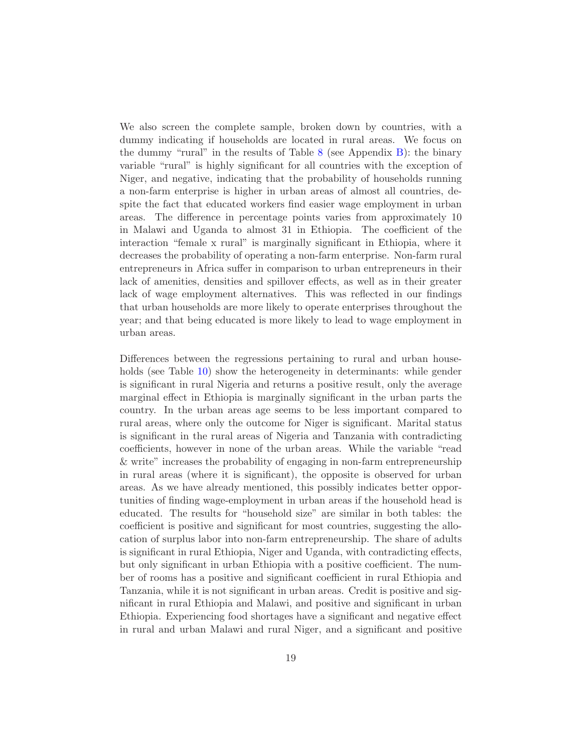We also screen the complete sample, broken down by countries, with a dummy indicating if households are located in rural areas. We focus on the dummy "rural" in the results of Table [8](#page-33-1) (see Appendix [B\)](#page-33-0): the binary variable "rural" is highly significant for all countries with the exception of Niger, and negative, indicating that the probability of households running a non-farm enterprise is higher in urban areas of almost all countries, despite the fact that educated workers find easier wage employment in urban areas. The difference in percentage points varies from approximately 10 in Malawi and Uganda to almost 31 in Ethiopia. The coefficient of the interaction "female x rural" is marginally significant in Ethiopia, where it decreases the probability of operating a non-farm enterprise. Non-farm rural entrepreneurs in Africa suffer in comparison to urban entrepreneurs in their lack of amenities, densities and spillover effects, as well as in their greater lack of wage employment alternatives. This was reflected in our findings that urban households are more likely to operate enterprises throughout the year; and that being educated is more likely to lead to wage employment in urban areas.

Differences between the regressions pertaining to rural and urban house-holds (see Table [10\)](#page-37-0) show the heterogeneity in determinants: while gender is significant in rural Nigeria and returns a positive result, only the average marginal effect in Ethiopia is marginally significant in the urban parts the country. In the urban areas age seems to be less important compared to rural areas, where only the outcome for Niger is significant. Marital status is significant in the rural areas of Nigeria and Tanzania with contradicting coefficients, however in none of the urban areas. While the variable "read & write" increases the probability of engaging in non-farm entrepreneurship in rural areas (where it is significant), the opposite is observed for urban areas. As we have already mentioned, this possibly indicates better opportunities of finding wage-employment in urban areas if the household head is educated. The results for "household size" are similar in both tables: the coefficient is positive and significant for most countries, suggesting the allocation of surplus labor into non-farm entrepreneurship. The share of adults is significant in rural Ethiopia, Niger and Uganda, with contradicting effects, but only significant in urban Ethiopia with a positive coefficient. The number of rooms has a positive and significant coefficient in rural Ethiopia and Tanzania, while it is not significant in urban areas. Credit is positive and significant in rural Ethiopia and Malawi, and positive and significant in urban Ethiopia. Experiencing food shortages have a significant and negative effect in rural and urban Malawi and rural Niger, and a significant and positive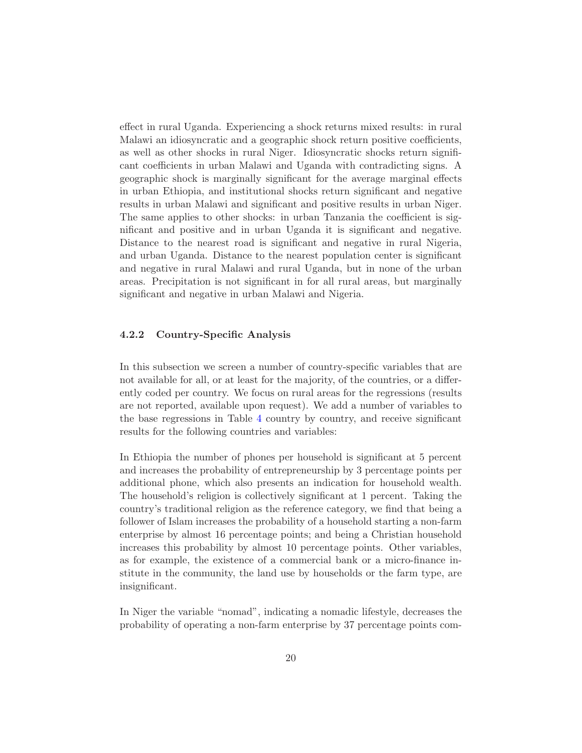effect in rural Uganda. Experiencing a shock returns mixed results: in rural Malawi an idiosyncratic and a geographic shock return positive coefficients, as well as other shocks in rural Niger. Idiosyncratic shocks return significant coefficients in urban Malawi and Uganda with contradicting signs. A geographic shock is marginally significant for the average marginal effects in urban Ethiopia, and institutional shocks return significant and negative results in urban Malawi and significant and positive results in urban Niger. The same applies to other shocks: in urban Tanzania the coefficient is significant and positive and in urban Uganda it is significant and negative. Distance to the nearest road is significant and negative in rural Nigeria, and urban Uganda. Distance to the nearest population center is significant and negative in rural Malawi and rural Uganda, but in none of the urban areas. Precipitation is not significant in for all rural areas, but marginally significant and negative in urban Malawi and Nigeria.

#### 4.2.2 Country-Specific Analysis

In this subsection we screen a number of country-specific variables that are not available for all, or at least for the majority, of the countries, or a differently coded per country. We focus on rural areas for the regressions (results are not reported, available upon request). We add a number of variables to the base regressions in Table [4](#page-20-0) country by country, and receive significant results for the following countries and variables:

In Ethiopia the number of phones per household is significant at 5 percent and increases the probability of entrepreneurship by 3 percentage points per additional phone, which also presents an indication for household wealth. The household's religion is collectively significant at 1 percent. Taking the country's traditional religion as the reference category, we find that being a follower of Islam increases the probability of a household starting a non-farm enterprise by almost 16 percentage points; and being a Christian household increases this probability by almost 10 percentage points. Other variables, as for example, the existence of a commercial bank or a micro-finance institute in the community, the land use by households or the farm type, are insignificant.

In Niger the variable "nomad", indicating a nomadic lifestyle, decreases the probability of operating a non-farm enterprise by 37 percentage points com-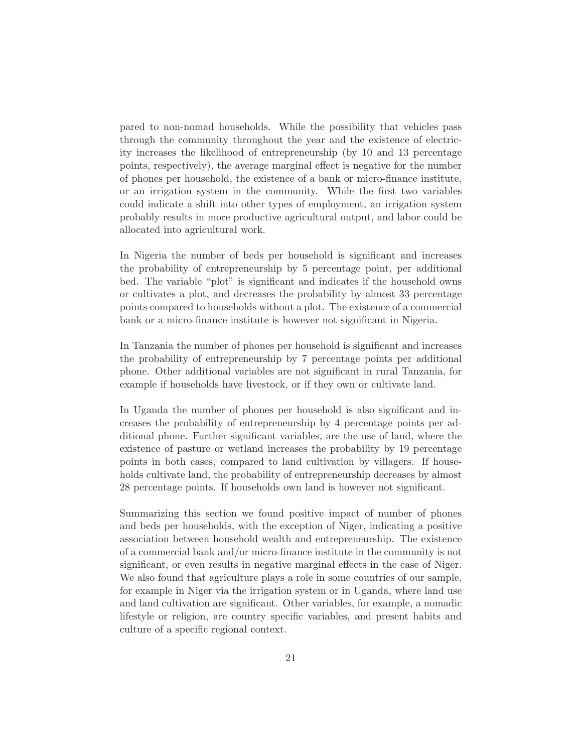pared to non-nomad households. While the possibility that vehicles pass through the community throughout the year and the existence of electricity increases the likelihood of entrepreneurship (by 10 and 13 percentage points, respectively), the average marginal effect is negative for the number of phones per household, the existence of a bank or micro-finance institute, or an irrigation system in the community. While the first two variables could indicate a shift into other types of employment, an irrigation system probably results in more productive agricultural output, and labor could be allocated into agricultural work.

In Nigeria the number of beds per household is significant and increases the probability of entrepreneurship by 5 percentage point, per additional bed. The variable "plot" is significant and indicates if the household owns or cultivates a plot, and decreases the probability by almost 33 percentage points compared to households without a plot. The existence of a commercial bank or a micro-finance institute is however not significant in Nigeria.

In Tanzania the number of phones per household is significant and increases the probability of entrepreneurship by 7 percentage points per additional phone. Other additional variables are not significant in rural Tanzania, for example if households have livestock, or if they own or cultivate land.

In Uganda the number of phones per household is also significant and increases the probability of entrepreneurship by 4 percentage points per additional phone. Further significant variables, are the use of land, where the existence of pasture or wetland increases the probability by 19 percentage points in both cases, compared to land cultivation by villagers. If households cultivate land, the probability of entrepreneurship decreases by almost 28 percentage points. If households own land is however not significant.

Summarizing this section we found positive impact of number of phones and beds per households, with the exception of Niger, indicating a positive association between household wealth and entrepreneurship. The existence of a commercial bank and/or micro-finance institute in the community is not significant, or even results in negative marginal effects in the case of Niger. We also found that agriculture plays a role in some countries of our sample, for example in Niger via the irrigation system or in Uganda, where land use and land cultivation are significant. Other variables, for example, a nomadic lifestyle or religion, are country specific variables, and present habits and culture of a specific regional context.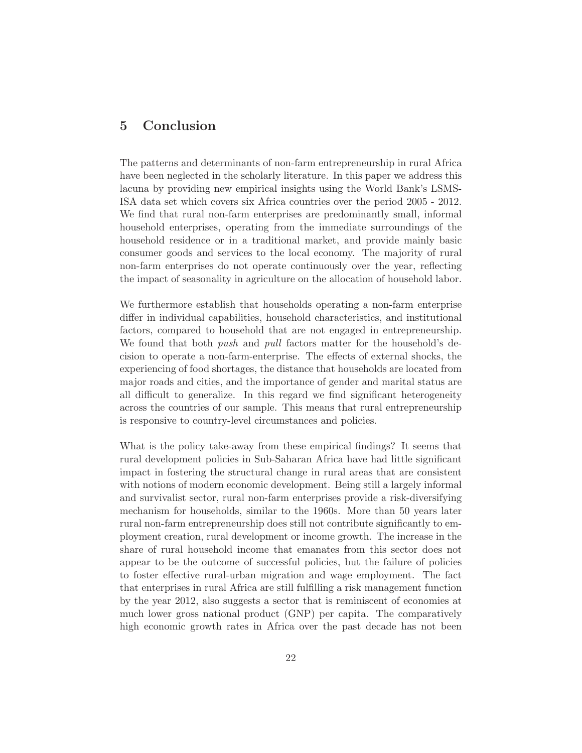### 5 Conclusion

The patterns and determinants of non-farm entrepreneurship in rural Africa have been neglected in the scholarly literature. In this paper we address this lacuna by providing new empirical insights using the World Bank's LSMS-ISA data set which covers six Africa countries over the period 2005 - 2012. We find that rural non-farm enterprises are predominantly small, informal household enterprises, operating from the immediate surroundings of the household residence or in a traditional market, and provide mainly basic consumer goods and services to the local economy. The majority of rural non-farm enterprises do not operate continuously over the year, reflecting the impact of seasonality in agriculture on the allocation of household labor.

We furthermore establish that households operating a non-farm enterprise differ in individual capabilities, household characteristics, and institutional factors, compared to household that are not engaged in entrepreneurship. We found that both *push* and *pull* factors matter for the household's decision to operate a non-farm-enterprise. The effects of external shocks, the experiencing of food shortages, the distance that households are located from major roads and cities, and the importance of gender and marital status are all difficult to generalize. In this regard we find significant heterogeneity across the countries of our sample. This means that rural entrepreneurship is responsive to country-level circumstances and policies.

What is the policy take-away from these empirical findings? It seems that rural development policies in Sub-Saharan Africa have had little significant impact in fostering the structural change in rural areas that are consistent with notions of modern economic development. Being still a largely informal and survivalist sector, rural non-farm enterprises provide a risk-diversifying mechanism for households, similar to the 1960s. More than 50 years later rural non-farm entrepreneurship does still not contribute significantly to employment creation, rural development or income growth. The increase in the share of rural household income that emanates from this sector does not appear to be the outcome of successful policies, but the failure of policies to foster effective rural-urban migration and wage employment. The fact that enterprises in rural Africa are still fulfilling a risk management function by the year 2012, also suggests a sector that is reminiscent of economies at much lower gross national product (GNP) per capita. The comparatively high economic growth rates in Africa over the past decade has not been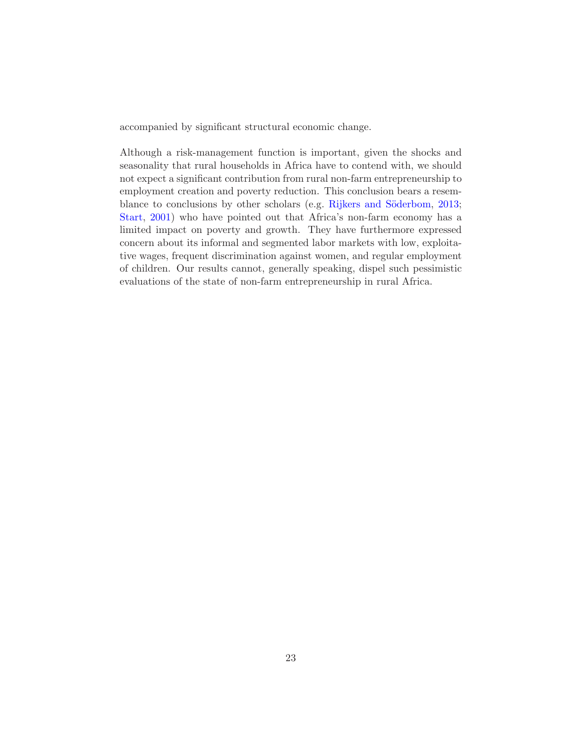accompanied by significant structural economic change.

Although a risk-management function is important, given the shocks and seasonality that rural households in Africa have to contend with, we should not expect a significant contribution from rural non-farm entrepreneurship to employment creation and poverty reduction. This conclusion bears a resem-blance to conclusions by other scholars (e.g. Rijkers and Söderbom, [2013;](#page-28-10) [Start](#page-29-1), [2001\)](#page-29-1) who have pointed out that Africa's non-farm economy has a limited impact on poverty and growth. They have furthermore expressed concern about its informal and segmented labor markets with low, exploitative wages, frequent discrimination against women, and regular employment of children. Our results cannot, generally speaking, dispel such pessimistic evaluations of the state of non-farm entrepreneurship in rural Africa.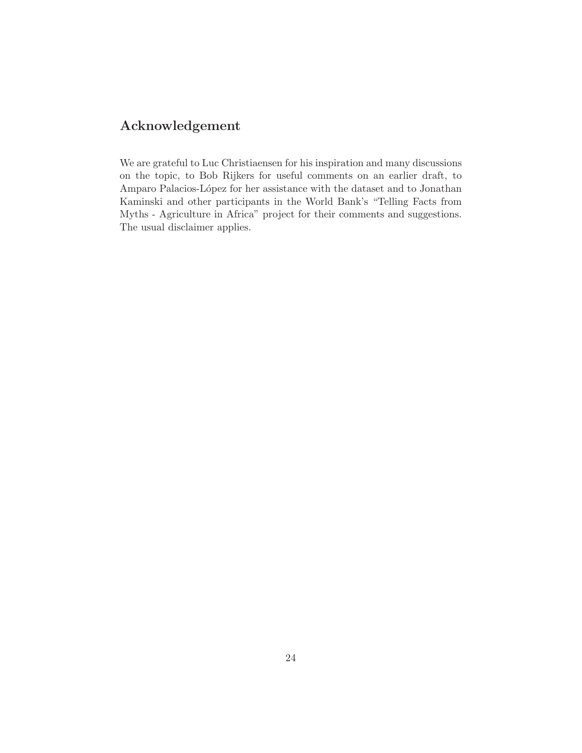## Acknowledgement

We are grateful to Luc Christiaensen for his inspiration and many discussions on the topic, to Bob Rijkers for useful comments on an earlier draft, to Amparo Palacios-López for her assistance with the dataset and to Jonathan Kaminski and other participants in the World Bank's "Telling Facts from Myths - Agriculture in Africa" project for their comments and suggestions. The usual disclaimer applies.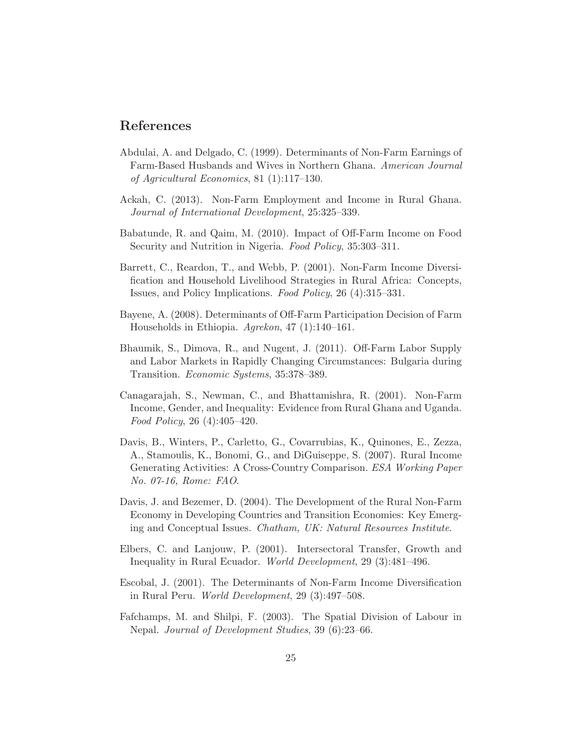### References

- <span id="page-27-6"></span>Abdulai, A. and Delgado, C. (1999). Determinants of Non-Farm Earnings of Farm-Based Husbands and Wives in Northern Ghana. *American Journal of Agricultural Economics*, 81 (1):117–130.
- <span id="page-27-4"></span>Ackah, C. (2013). Non-Farm Employment and Income in Rural Ghana. *Journal of International Development*, 25:325–339.
- <span id="page-27-5"></span>Babatunde, R. and Qaim, M. (2010). Impact of Off-Farm Income on Food Security and Nutrition in Nigeria. *Food Policy*, 35:303–311.
- <span id="page-27-1"></span>Barrett, C., Reardon, T., and Webb, P. (2001). Non-Farm Income Diversification and Household Livelihood Strategies in Rural Africa: Concepts, Issues, and Policy Implications. *Food Policy*, 26 (4):315–331.
- <span id="page-27-9"></span>Bayene, A. (2008). Determinants of Off-Farm Participation Decision of Farm Households in Ethiopia. *Agrekon*, 47 (1):140–161.
- <span id="page-27-7"></span>Bhaumik, S., Dimova, R., and Nugent, J. (2011). Off-Farm Labor Supply and Labor Markets in Rapidly Changing Circumstances: Bulgaria during Transition. *Economic Systems*, 35:378–389.
- <span id="page-27-8"></span>Canagarajah, S., Newman, C., and Bhattamishra, R. (2001). Non-Farm Income, Gender, and Inequality: Evidence from Rural Ghana and Uganda. *Food Policy*, 26 (4):405–420.
- <span id="page-27-0"></span>Davis, B., Winters, P., Carletto, G., Covarrubias, K., Quinones, E., Zezza, A., Stamoulis, K., Bonomi, G., and DiGuiseppe, S. (2007). Rural Income Generating Activities: A Cross-Country Comparison. *ESA Working Paper No. 07-16, Rome: FAO*.
- <span id="page-27-2"></span>Davis, J. and Bezemer, D. (2004). The Development of the Rural Non-Farm Economy in Developing Countries and Transition Economies: Key Emerging and Conceptual Issues. *Chatham, UK: Natural Resources Institute*.
- <span id="page-27-10"></span>Elbers, C. and Lanjouw, P. (2001). Intersectoral Transfer, Growth and Inequality in Rural Ecuador. *World Development*, 29 (3):481–496.
- <span id="page-27-3"></span>Escobal, J. (2001). The Determinants of Non-Farm Income Diversification in Rural Peru. *World Development*, 29 (3):497–508.
- <span id="page-27-11"></span>Fafchamps, M. and Shilpi, F. (2003). The Spatial Division of Labour in Nepal. *Journal of Development Studies*, 39 (6):23–66.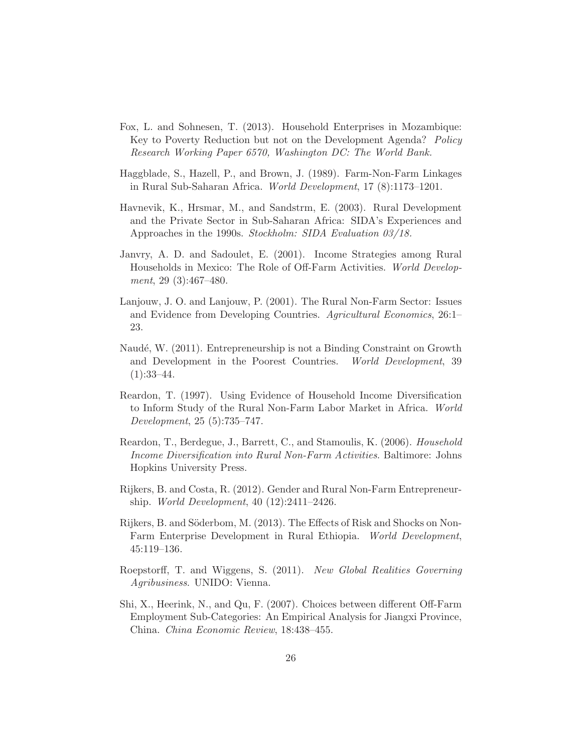- <span id="page-28-2"></span>Fox, L. and Sohnesen, T. (2013). Household Enterprises in Mozambique: Key to Poverty Reduction but not on the Development Agenda? *Policy Research Working Paper 6570, Washington DC: The World Bank.*
- <span id="page-28-7"></span>Haggblade, S., Hazell, P., and Brown, J. (1989). Farm-Non-Farm Linkages in Rural Sub-Saharan Africa. *World Development*, 17 (8):1173–1201.
- <span id="page-28-6"></span>Havnevik, K., Hrsmar, M., and Sandstrm, E. (2003). Rural Development and the Private Sector in Sub-Saharan Africa: SIDA's Experiences and Approaches in the 1990s. *Stockholm: SIDA Evaluation 03/18.*
- <span id="page-28-8"></span>Janvry, A. D. and Sadoulet, E. (2001). Income Strategies among Rural Households in Mexico: The Role of Off-Farm Activities. *World Development*, 29 (3):467–480.
- <span id="page-28-5"></span>Lanjouw, J. O. and Lanjouw, P. (2001). The Rural Non-Farm Sector: Issues and Evidence from Developing Countries. *Agricultural Economics*, 26:1– 23.
- <span id="page-28-3"></span>Naudé, W. (2011). Entrepreneurship is not a Binding Constraint on Growth and Development in the Poorest Countries. *World Development*, 39  $(1):33-44.$
- <span id="page-28-11"></span>Reardon, T. (1997). Using Evidence of Household Income Diversification to Inform Study of the Rural Non-Farm Labor Market in Africa. *World Development*, 25 (5):735–747.
- <span id="page-28-0"></span>Reardon, T., Berdegue, J., Barrett, C., and Stamoulis, K. (2006). *Household Income Diversification into Rural Non-Farm Activities*. Baltimore: Johns Hopkins University Press.
- <span id="page-28-1"></span>Rijkers, B. and Costa, R. (2012). Gender and Rural Non-Farm Entrepreneurship. *World Development*, 40 (12):2411–2426.
- <span id="page-28-10"></span>Rijkers, B. and Söderbom, M. (2013). The Effects of Risk and Shocks on Non-Farm Enterprise Development in Rural Ethiopia. *World Development*, 45:119–136.
- <span id="page-28-4"></span>Roepstorff, T. and Wiggens, S. (2011). *New Global Realities Governing Agribusiness*. UNIDO: Vienna.
- <span id="page-28-9"></span>Shi, X., Heerink, N., and Qu, F. (2007). Choices between different Off-Farm Employment Sub-Categories: An Empirical Analysis for Jiangxi Province, China. *China Economic Review*, 18:438–455.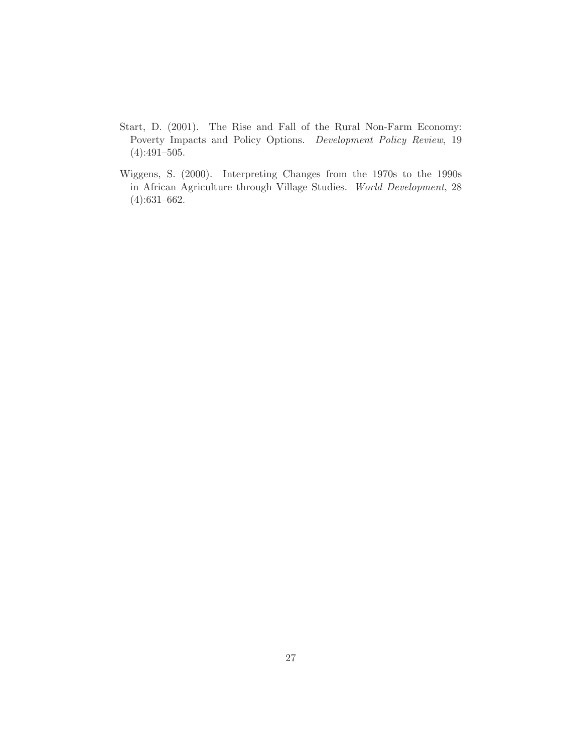- <span id="page-29-1"></span>Start, D. (2001). The Rise and Fall of the Rural Non-Farm Economy: Poverty Impacts and Policy Options. *Development Policy Review*, 19  $(4):491-505.$
- <span id="page-29-0"></span>Wiggens, S. (2000). Interpreting Changes from the 1970s to the 1990s in African Agriculture through Village Studies. *World Development*, 28 (4):631–662.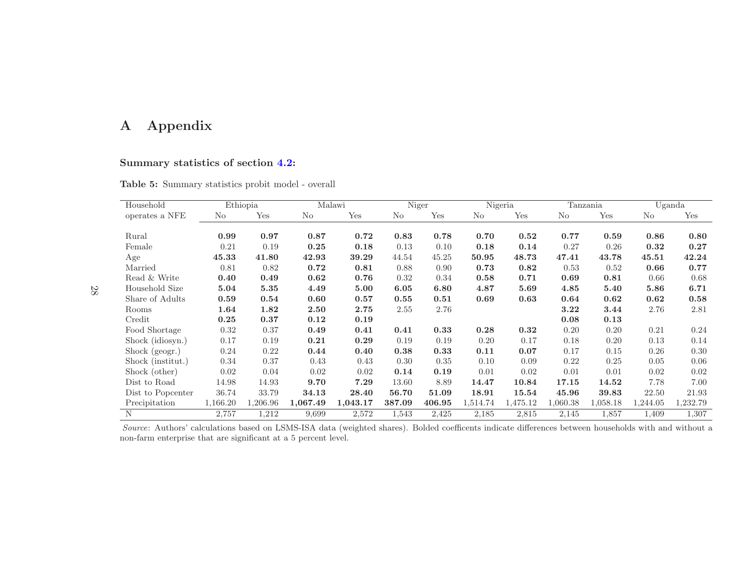## <sup>A</sup> Appendix

## Summary statistics of section [4.2:](#page-16-2)

|  | Table 5: Summary statistics probit model - overall |
|--|----------------------------------------------------|

| Household         |          | Ethiopia |          | Malawi   |        | Niger  |          | Nigeria  |          | Tanzania |          | Uganda   |
|-------------------|----------|----------|----------|----------|--------|--------|----------|----------|----------|----------|----------|----------|
| operates a NFE    | No       | Yes      | No       | Yes      | No     | Yes    | No       | Yes      | No       | Yes      | No       | Yes      |
|                   |          |          |          |          |        |        |          |          |          |          |          |          |
| Rural             | 0.99     | 0.97     | 0.87     | 0.72     | 0.83   | 0.78   | 0.70     | 0.52     | 0.77     | 0.59     | 0.86     | 0.80     |
| Female            | 0.21     | 0.19     | 0.25     | 0.18     | 0.13   | 0.10   | 0.18     | 0.14     | 0.27     | 0.26     | 0.32     | 0.27     |
| Age               | 45.33    | 41.80    | 42.93    | 39.29    | 44.54  | 45.25  | 50.95    | 48.73    | 47.41    | 43.78    | 45.51    | 42.24    |
| Married           | 0.81     | 0.82     | 0.72     | 0.81     | 0.88   | 0.90   | 0.73     | 0.82     | 0.53     | 0.52     | 0.66     | 0.77     |
| Read & Write      | 0.40     | 0.49     | 0.62     | 0.76     | 0.32   | 0.34   | 0.58     | 0.71     | 0.69     | 0.81     | 0.66     | 0.68     |
| Household Size    | 5.04     | 5.35     | 4.49     | 5.00     | 6.05   | 6.80   | 4.87     | 5.69     | 4.85     | 5.40     | 5.86     | 6.71     |
| Share of Adults   | 0.59     | 0.54     | 0.60     | 0.57     | 0.55   | 0.51   | 0.69     | 0.63     | 0.64     | 0.62     | 0.62     | 0.58     |
| Rooms             | 1.64     | 1.82     | 2.50     | 2.75     | 2.55   | 2.76   |          |          | 3.22     | 3.44     | 2.76     | 2.81     |
| Credit            | 0.25     | 0.37     | 0.12     | 0.19     |        |        |          |          | 0.08     | 0.13     |          |          |
| Food Shortage     | 0.32     | 0.37     | 0.49     | 0.41     | 0.41   | 0.33   | 0.28     | 0.32     | 0.20     | 0.20     | 0.21     | 0.24     |
| Shock (idiosyn.)  | 0.17     | 0.19     | 0.21     | 0.29     | 0.19   | 0.19   | 0.20     | 0.17     | 0.18     | 0.20     | 0.13     | 0.14     |
| Shock (geogr.)    | 0.24     | 0.22     | 0.44     | 0.40     | 0.38   | 0.33   | 0.11     | 0.07     | 0.17     | 0.15     | 0.26     | 0.30     |
| Shock (institut.) | 0.34     | 0.37     | 0.43     | 0.43     | 0.30   | 0.35   | 0.10     | 0.09     | 0.22     | 0.25     | 0.05     | 0.06     |
| Shock (other)     | 0.02     | 0.04     | 0.02     | 0.02     | 0.14   | 0.19   | 0.01     | 0.02     | 0.01     | 0.01     | 0.02     | 0.02     |
| Dist to Road      | 14.98    | 14.93    | 9.70     | 7.29     | 13.60  | 8.89   | 14.47    | 10.84    | 17.15    | 14.52    | 7.78     | 7.00     |
| Dist to Popcenter | 36.74    | 33.79    | 34.13    | 28.40    | 56.70  | 51.09  | 18.91    | 15.54    | 45.96    | 39.83    | 22.50    | 21.93    |
| Precipitation     | 1,166.20 | 1,206.96 | 1,067.49 | 1,043.17 | 387.09 | 406.95 | 1,514.74 | 1,475.12 | 1,060.38 | 1,058.18 | 1,244.05 | 1,232.79 |
| N                 | 2,757    | 1,212    | 9,699    | 2,572    | 1,543  | 2,425  | 2,185    | 2,815    | 2,145    | 1,857    | 1,409    | 1,307    |

Source: Authors' calculations based on LSMS-ISA data (weighted shares). Bolded coefficents indicate differences between households with and without <sup>a</sup>non-farm enterprise that are significant at <sup>a</sup> <sup>5</sup> percent level.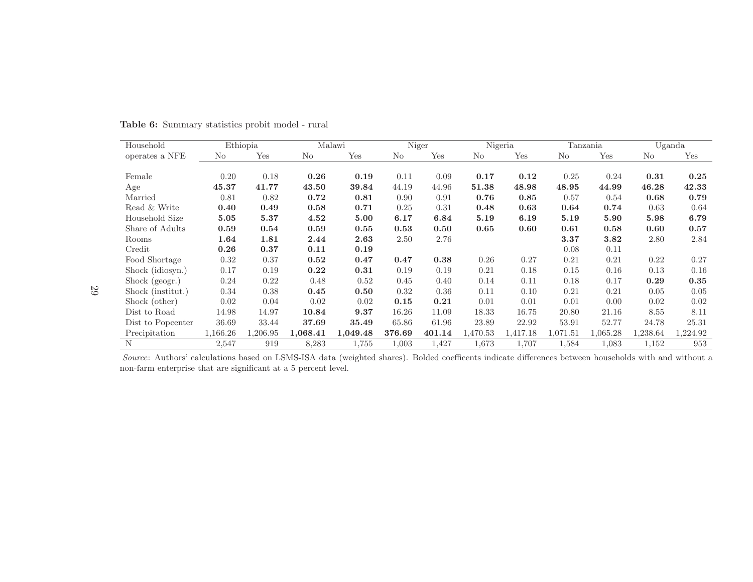| Household         |          | Ethiopia |          | Malawi   | Niger  |        |          | Nigeria  |              | Tanzania |          | Uganda   |
|-------------------|----------|----------|----------|----------|--------|--------|----------|----------|--------------|----------|----------|----------|
| operates a NFE    | No       | Yes      | No       | Yes      | No     | Yes    | No       | Yes      | No           | Yes      | No       | Yes      |
|                   |          |          |          |          |        |        |          |          |              |          |          |          |
| Female            | 0.20     | 0.18     | 0.26     | 0.19     | 0.11   | 0.09   | 0.17     | 0.12     | 0.25         | 0.24     | 0.31     | 0.25     |
| Age               | 45.37    | 41.77    | 43.50    | 39.84    | 44.19  | 44.96  | 51.38    | 48.98    | 48.95        | 44.99    | 46.28    | 42.33    |
| Married           | 0.81     | 0.82     | 0.72     | 0.81     | 0.90   | 0.91   | 0.76     | 0.85     | 0.57         | 0.54     | 0.68     | 0.79     |
| Read & Write      | 0.40     | 0.49     | 0.58     | 0.71     | 0.25   | 0.31   | 0.48     | 0.63     | 0.64         | 0.74     | 0.63     | 0.64     |
| Household Size    | 5.05     | 5.37     | 4.52     | 5.00     | 6.17   | 6.84   | 5.19     | 6.19     | 5.19         | 5.90     | 5.98     | 6.79     |
| Share of Adults   | 0.59     | 0.54     | 0.59     | 0.55     | 0.53   | 0.50   | 0.65     | 0.60     | 0.61         | 0.58     | 0.60     | 0.57     |
| Rooms             | 1.64     | 1.81     | 2.44     | 2.63     | 2.50   | 2.76   |          |          | 3.37         | 3.82     | 2.80     | 2.84     |
| Credit            | 0.26     | 0.37     | 0.11     | 0.19     |        |        |          |          | 0.08         | 0.11     |          |          |
| Food Shortage     | 0.32     | 0.37     | 0.52     | 0.47     | 0.47   | 0.38   | 0.26     | 0.27     | 0.21         | 0.21     | 0.22     | 0.27     |
| Shock (idiosyn.)  | 0.17     | 0.19     | 0.22     | 0.31     | 0.19   | 0.19   | 0.21     | 0.18     | 0.15         | 0.16     | 0.13     | 0.16     |
| Shock (geogr.)    | 0.24     | 0.22     | 0.48     | 0.52     | 0.45   | 0.40   | 0.14     | 0.11     | 0.18         | 0.17     | 0.29     | $0.35\,$ |
| Shock (institut.) | 0.34     | 0.38     | 0.45     | 0.50     | 0.32   | 0.36   | 0.11     | 0.10     | 0.21         | 0.21     | 0.05     | 0.05     |
| Shock (other)     | 0.02     | 0.04     | 0.02     | 0.02     | 0.15   | 0.21   | 0.01     | 0.01     | 0.01         | 0.00     | 0.02     | 0.02     |
| Dist to Road      | 14.98    | 14.97    | 10.84    | 9.37     | 16.26  | 11.09  | 18.33    | 16.75    | 20.80        | 21.16    | 8.55     | 8.11     |
| Dist to Popcenter | 36.69    | 33.44    | 37.69    | 35.49    | 65.86  | 61.96  | 23.89    | 22.92    | 53.91        | 52.77    | 24.78    | 25.31    |
| Precipitation     | 1,166.26 | 1,206.95 | 1,068.41 | 1,049.48 | 376.69 | 401.14 | 1,470.53 | 1,417.18 | ${1.071.51}$ | 1,065.28 | 1,238.64 | 1,224.92 |
| N                 | 2,547    | 919      | 8,283    | 1,755    | 1,003  | 1,427  | 1,673    | 1,707    | 1,584        | 1,083    | 1,152    | 953      |

Table 6: Summary statistics probit model - rural

Source: Authors' calculations based on LSMS-ISA data (weighted shares). Bolded coefficents indicate differences between households with and without <sup>a</sup>non-farm enterprise that are significant at <sup>a</sup> <sup>5</sup> percent level.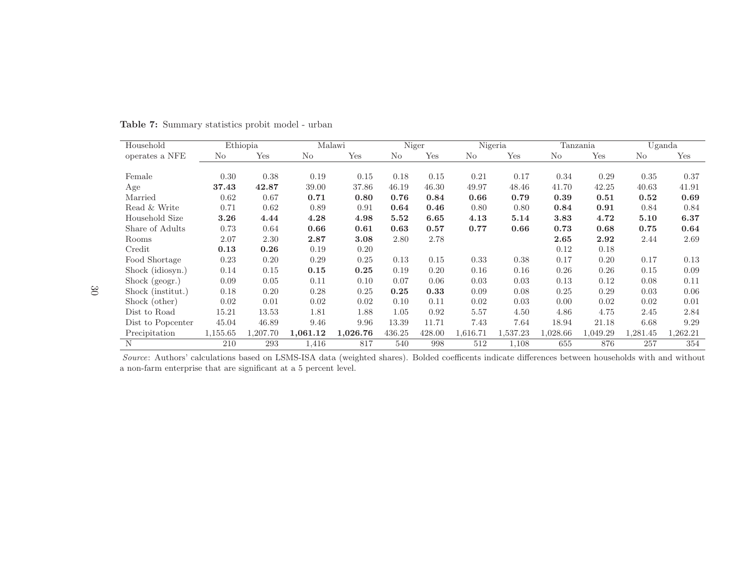| Household         |          | Ethiopia |          | Malawi   | Niger  |        |                | Nigeria  |          | Tanzania |          | Uganda   |
|-------------------|----------|----------|----------|----------|--------|--------|----------------|----------|----------|----------|----------|----------|
| operates a NFE    | No       | Yes      | No       | Yes      | No     | Yes    | N <sub>o</sub> | Yes      | No       | Yes      | No       | Yes      |
|                   |          |          |          |          |        |        |                |          |          |          |          |          |
| Female            | 0.30     | 0.38     | 0.19     | 0.15     | 0.18   | 0.15   | 0.21           | 0.17     | 0.34     | 0.29     | 0.35     | 0.37     |
| Age               | 37.43    | 42.87    | 39.00    | 37.86    | 46.19  | 46.30  | 49.97          | 48.46    | 41.70    | 42.25    | 40.63    | 41.91    |
| Married           | 0.62     | 0.67     | 0.71     | 0.80     | 0.76   | 0.84   | 0.66           | 0.79     | 0.39     | 0.51     | 0.52     | 0.69     |
| Read & Write      | 0.71     | 0.62     | 0.89     | 0.91     | 0.64   | 0.46   | 0.80           | 0.80     | 0.84     | 0.91     | 0.84     | 0.84     |
| Household Size    | 3.26     | 4.44     | 4.28     | 4.98     | 5.52   | 6.65   | 4.13           | 5.14     | 3.83     | 4.72     | 5.10     | 6.37     |
| Share of Adults   | 0.73     | 0.64     | 0.66     | 0.61     | 0.63   | 0.57   | 0.77           | 0.66     | 0.73     | 0.68     | 0.75     | 0.64     |
| Rooms             | 2.07     | 2.30     | 2.87     | 3.08     | 2.80   | 2.78   |                |          | 2.65     | 2.92     | 2.44     | 2.69     |
| Credit            | 0.13     | 0.26     | 0.19     | 0.20     |        |        |                |          | 0.12     | 0.18     |          |          |
| Food Shortage     | 0.23     | 0.20     | 0.29     | 0.25     | 0.13   | 0.15   | 0.33           | 0.38     | 0.17     | 0.20     | 0.17     | 0.13     |
| Shock (idiosyn.)  | 0.14     | 0.15     | 0.15     | 0.25     | 0.19   | 0.20   | 0.16           | 0.16     | 0.26     | 0.26     | 0.15     | 0.09     |
| Shock (geogr.)    | 0.09     | 0.05     | 0.11     | 0.10     | 0.07   | 0.06   | 0.03           | 0.03     | 0.13     | 0.12     | 0.08     | 0.11     |
| Shock (institut.) | 0.18     | 0.20     | 0.28     | 0.25     | 0.25   | 0.33   | 0.09           | 0.08     | 0.25     | 0.29     | 0.03     | 0.06     |
| Shock (other)     | 0.02     | 0.01     | 0.02     | 0.02     | 0.10   | 0.11   | 0.02           | 0.03     | 0.00     | 0.02     | 0.02     | 0.01     |
| Dist to Road      | 15.21    | 13.53    | 1.81     | 1.88     | 1.05   | 0.92   | 5.57           | 4.50     | 4.86     | 4.75     | 2.45     | 2.84     |
| Dist to Popcenter | 45.04    | 46.89    | 9.46     | 9.96     | 13.39  | 11.71  | 7.43           | 7.64     | 18.94    | 21.18    | 6.68     | 9.29     |
| Precipitation     | 1,155.65 | 1,207.70 | 1,061.12 | 1,026.76 | 436.25 | 428.00 | 1,616.71       | 1,537.23 | 1,028.66 | 1,049.29 | 1,281.45 | 1,262.21 |
| N                 | 210      | 293      | 1,416    | 817      | 540    | 998    | 512            | 1,108    | 655      | 876      | 257      | 354      |

Table 7: Summary statistics probit model - urban

Source: Authors' calculations based on LSMS-ISA data (weighted shares). Bolded coefficents indicate differences between households with and without <sup>a</sup> non-farm enterprise that are significant at <sup>a</sup> <sup>5</sup> percent level.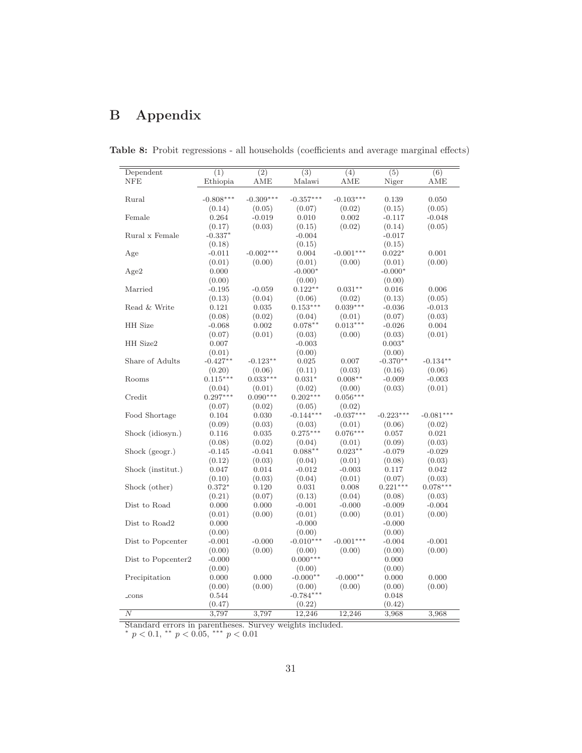## <span id="page-33-0"></span>B Appendix

| Dependent          | (1)         | $\overline{(2)}$ | (3)         | (4)         | (5)         | (6)         |
|--------------------|-------------|------------------|-------------|-------------|-------------|-------------|
| <b>NFE</b>         | Ethiopia    | AME              | Malawi      | AME         | Niger       | AME         |
|                    |             |                  |             |             |             |             |
| Rural              | $-0.808***$ | $-0.309***$      | $-0.357***$ | $-0.103***$ | 0.139       | 0.050       |
|                    | (0.14)      | (0.05)           | (0.07)      | (0.02)      | (0.15)      | (0.05)      |
| Female             | 0.264       | $-0.019$         | 0.010       | 0.002       | $-0.117$    | $-0.048$    |
|                    | (0.17)      | (0.03)           | (0.15)      | (0.02)      | (0.14)      | (0.05)      |
| Rural x Female     | $-0.337*$   |                  | $-0.004$    |             | $-0.017$    |             |
|                    | (0.18)      |                  | (0.15)      |             | (0.15)      |             |
| Age                | $-0.011$    | $-0.002***$      | 0.004       | $-0.001***$ | $0.022*$    | 0.001       |
|                    | (0.01)      | (0.00)           | (0.01)      | (0.00)      | (0.01)      | (0.00)      |
| Age2               | 0.000       |                  | $-0.000*$   |             | $-0.000*$   |             |
|                    | (0.00)      |                  | (0.00)      |             | (0.00)      |             |
| Married            | $-0.195$    | $-0.059$         | $0.122**$   | $0.031**$   | 0.016       | 0.006       |
|                    | (0.13)      | (0.04)           | (0.06)      | (0.02)      | (0.13)      | (0.05)      |
| Read & Write       | 0.121       | 0.035            | $0.153***$  | $0.039***$  | $-0.036$    | $-0.013$    |
|                    | (0.08)      | (0.02)           | (0.04)      | (0.01)      | (0.07)      | (0.03)      |
| <b>HH</b> Size     | $-0.068$    | 0.002            | $0.078**$   | $0.013***$  | $-0.026$    | 0.004       |
|                    | (0.07)      | (0.01)           | (0.03)      | (0.00)      | (0.03)      | (0.01)      |
| HH Size2           | 0.007       |                  | $-0.003$    |             | $0.003*$    |             |
|                    | (0.01)      |                  | (0.00)      |             | (0.00)      |             |
| Share of Adults    | $-0.427**$  | $-0.123**$       | 0.025       | 0.007       | $-0.370**$  | $-0.134***$ |
|                    | (0.20)      | (0.06)           | (0.11)      | (0.03)      | (0.16)      | (0.06)      |
| Rooms              | $0.115***$  | $0.033***$       | $0.031*$    | $0.008**$   | $-0.009$    | $-0.003$    |
|                    | (0.04)      | (0.01)           | (0.02)      | (0.00)      | (0.03)      | (0.01)      |
| Credit             | $0.297***$  | $0.090***$       | $0.202***$  | $0.056***$  |             |             |
|                    | (0.07)      | (0.02)           | (0.05)      | (0.02)      |             |             |
| Food Shortage      | 0.104       | 0.030            | $-0.144***$ | $-0.037***$ | $-0.223***$ | $-0.081***$ |
|                    | (0.09)      | (0.03)           | (0.03)      | (0.01)      | (0.06)      | (0.02)      |
| Shock (idiosyn.)   | 0.116       | 0.035            | $0.275***$  | $0.076***$  | 0.057       | 0.021       |
|                    | (0.08)      | (0.02)           | (0.04)      | (0.01)      | (0.09)      | (0.03)      |
| Shock (geogr.)     | $-0.145$    | $-0.041$         | $0.088**$   | $0.023**$   | $-0.079$    | $-0.029$    |
|                    | (0.12)      | (0.03)           | (0.04)      | (0.01)      | (0.08)      | (0.03)      |
| Shock (institut.)  | 0.047       | 0.014            | $-0.012$    | $-0.003$    | 0.117       | 0.042       |
|                    | (0.10)      | (0.03)           | (0.04)      | (0.01)      | (0.07)      | (0.03)      |
| Shock (other)      | $0.372*$    | 0.120            | 0.031       | 0.008       | $0.221***$  | $0.078***$  |
|                    | (0.21)      | (0.07)           | (0.13)      | (0.04)      | (0.08)      | (0.03)      |
| Dist to Road       | 0.000       | 0.000            | $-0.001$    | $-0.000$    | $-0.009$    | $-0.004$    |
|                    | (0.01)      | (0.00)           | (0.01)      | (0.00)      | (0.01)      | (0.00)      |
| Dist to Road2      | 0.000       |                  | $-0.000$    |             | $-0.000$    |             |
|                    | (0.00)      |                  | (0.00)      |             | (0.00)      |             |
| Dist to Popcenter  | $-0.001$    | $-0.000$         | $-0.010***$ | $-0.001***$ | $-0.004$    | $-0.001$    |
|                    | (0.00)      | (0.00)           | (0.00)      | (0.00)      | (0.00)      | (0.00)      |
| Dist to Popcenter2 | $-0.000$    |                  | $0.000***$  |             | 0.000       |             |
|                    | (0.00)      |                  | (0.00)      |             | (0.00)      |             |
| Precipitation      | 0.000       | 0.000            | $-0.000**$  | $-0.000**$  | 0.000       | 0.000       |
|                    | (0.00)      | (0.00)           | (0.00)      | (0.00)      | (0.00)      | (0.00)      |
| $_{\rm cons}$      | 0.544       |                  | $-0.784***$ |             | 0.048       |             |
|                    | (0.47)      |                  | (0.22)      |             | (0.42)      |             |
| $\boldsymbol{N}$   | 3,797       | 3,797            | 12,246      | 12,246      | 3,968       | 3,968       |
|                    |             |                  |             |             |             |             |

<span id="page-33-1"></span>Table 8: Probit regressions - all households (coefficients and average marginal effects)

Standard errors in parentheses. Survey weights included.  $* p < 0.1, ** p < 0.05, *** p < 0.01$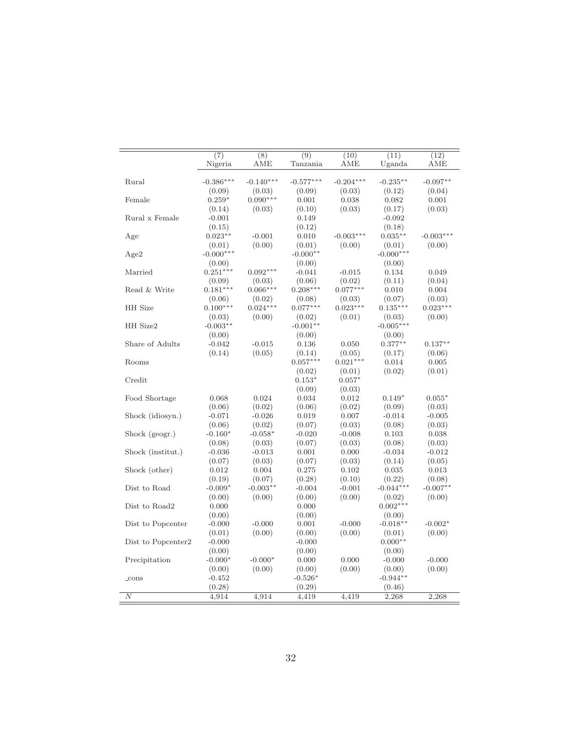| $\overline{(7)}$<br>(8)<br>(9)<br>(11)<br>(10)                                       | (12)        |
|--------------------------------------------------------------------------------------|-------------|
| Nigeria<br>AME<br>Tanzania<br>AME<br>Uganda                                          | AME         |
|                                                                                      |             |
| $-0.386***$<br>$-0.140***$<br>$-0.577***$<br>$-0.204***$<br>$-0.235***$<br>Rural     | $-0.097**$  |
| (0.09)<br>(0.03)<br>(0.09)<br>(0.03)<br>(0.12)                                       | (0.04)      |
| $0.090***$<br>Female<br>$0.259*$<br>0.038<br>0.001<br>0.082                          | 0.001       |
| (0.14)<br>(0.03)<br>(0.10)<br>(0.03)<br>(0.17)                                       | (0.03)      |
| Rural x Female<br>$-0.001$<br>0.149<br>$-0.092$                                      |             |
| (0.15)<br>(0.12)<br>(0.18)                                                           |             |
| $0.023**$<br>$-0.001$<br>0.010<br>$-0.003***$<br>$0.035**$<br>Age                    | $-0.003***$ |
| (0.00)<br>(0.01)<br>(0.01)<br>(0.01)<br>(0.00)                                       | (0.00)      |
| $-0.000***$<br>$-0.000***$<br>$-0.000**$<br>Age2                                     |             |
| (0.00)<br>(0.00)<br>(0.00)                                                           |             |
| Married<br>$0.092***$<br>$0.251***$<br>$-0.041$<br>$-0.015$<br>0.134                 | 0.049       |
| (0.06)<br>(0.02)<br>(0.11)<br>(0.09)<br>(0.03)                                       | (0.04)      |
| $0.208***$<br>$0.181***$<br>$0.066***$<br>$0.077***$<br>Read & Write<br>0.010        | 0.004       |
| (0.06)<br>(0.02)<br>(0.08)<br>(0.03)<br>(0.07)                                       | (0.03)      |
| <b>HH</b> Size<br>$0.100***$<br>$0.024***$<br>$0.077***$<br>$0.023***$<br>$0.135***$ | $0.023***$  |
| (0.01)<br>(0.03)<br>(0.00)<br>(0.02)<br>(0.03)                                       | (0.00)      |
| $-0.005***$<br>HH Size2<br>$-0.003**$<br>$-0.001**$                                  |             |
| (0.00)<br>(0.00)<br>(0.00)                                                           |             |
| Share of Adults<br>$-0.042$<br>$-0.015$<br>0.136<br>0.050<br>$0.377**$               | $0.137**$   |
| (0.05)<br>(0.14)<br>(0.14)<br>(0.05)<br>(0.17)                                       | (0.06)      |
| $0.057***$<br>$0.021***$<br>Rooms<br>0.014                                           | 0.005       |
| (0.02)<br>(0.01)<br>(0.02)                                                           | (0.01)      |
| Credit<br>$0.153*$<br>$0.057*$                                                       |             |
| (0.09)<br>(0.03)                                                                     |             |
| Food Shortage<br>0.024<br>0.012<br>0.068<br>0.034<br>$0.149*$                        | $0.055*$    |
| (0.06)<br>(0.02)<br>(0.06)<br>(0.02)<br>(0.09)                                       | (0.03)      |
| Shock (idiosyn.)<br>$-0.071$<br>$-0.026$<br>0.019<br>0.007<br>$-0.014$               | $-0.005$    |
| (0.06)<br>(0.02)<br>(0.07)<br>(0.03)<br>(0.08)                                       | (0.03)      |
| $-0.160*$<br>Shock (geogr.)<br>$-0.058*$<br>$-0.020$<br>$-0.008$<br>0.103            | 0.038       |
| (0.08)<br>(0.08)<br>(0.03)<br>(0.07)<br>(0.03)                                       | (0.03)      |
| Shock (institut.)<br>$-0.034$<br>$-0.036$<br>$-0.013$<br>0.001<br>0.000              | $-0.012$    |
| (0.03)<br>(0.14)<br>(0.07)<br>(0.03)<br>(0.07)                                       | (0.05)      |
| Shock (other)<br>0.012<br>0.004<br>0.275<br>0.102<br>0.035                           | 0.013       |
| (0.28)<br>(0.22)<br>(0.19)<br>(0.07)<br>(0.10)                                       | (0.08)      |
| Dist to Road<br>$-0.003**$<br>$-0.044***$<br>$-0.009*$<br>$-0.004$<br>$-0.001$       | $-0.007**$  |
| (0.00)<br>(0.00)<br>(0.00)<br>(0.00)<br>(0.02)                                       | (0.00)      |
| Dist to Road2<br>$0.002***$<br>0.000<br>0.000                                        |             |
| (0.00)<br>(0.00)<br>(0.00)                                                           |             |
| $-0.018**$<br>Dist to Popcenter<br>$-0.000$<br>$-0.000$<br>0.001<br>$-0.000$         | $-0.002*$   |
| (0.00)<br>(0.00)<br>(0.01)<br>(0.00)<br>(0.01)                                       | (0.00)      |
| Dist to Popcenter2<br>$-0.000$<br>$0.000**$<br>$-0.000$                              |             |
| (0.00)<br>(0.00)<br>(0.00)                                                           |             |
| $-0.000*$<br>Precipitation<br>$-0.000*$<br>0.000<br>0.000<br>$-0.000$                | $-0.000$    |
| (0.00)<br>(0.00)<br>(0.00)<br>(0.00)<br>(0.00)                                       | (0.00)      |
| $-0.944**$<br>$-0.452$<br>$-0.526*$<br>$_{\rm cons}$                                 |             |
| (0.28)<br>(0.29)<br>(0.46)                                                           |             |
| $\overline{N}$<br>4,914<br>4,914<br>4,419<br>4,419<br>2,268                          | 2,268       |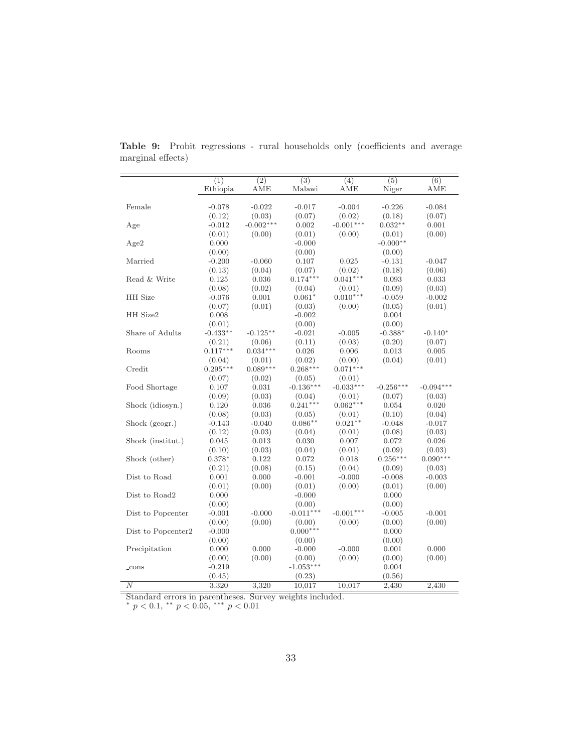|                    | (1)        | $\overline{(2)}$ | $\overline{(3)}$ | (4)         | $\overline{(5)}$ | $\overline{(6)}$ |
|--------------------|------------|------------------|------------------|-------------|------------------|------------------|
|                    | Ethiopia   | AME              | Malawi           | AME         | Niger            | AME              |
| Female             | $-0.078$   | $-0.022$         | $-0.017$         | $-0.004$    | $-0.226$         | $-0.084$         |
|                    | (0.12)     | (0.03)           | (0.07)           | (0.02)      | (0.18)           | (0.07)           |
| Age                | $-0.012$   | $-0.002***$      | 0.002            | $-0.001***$ | $0.032**$        | 0.001            |
|                    | (0.01)     | (0.00)           | (0.01)           | (0.00)      | (0.01)           | (0.00)           |
| Age2               | 0.000      |                  | $-0.000$         |             | $-0.000**$       |                  |
|                    | (0.00)     |                  | (0.00)           |             | (0.00)           |                  |
| Married            | $-0.200$   | $-0.060$         | 0.107            | 0.025       | $-0.131$         | $-0.047$         |
|                    | (0.13)     | (0.04)           | (0.07)           | (0.02)      | (0.18)           | (0.06)           |
| Read & Write       | 0.125      | 0.036            | $0.174***$       | $0.041***$  | 0.093            | 0.033            |
|                    | (0.08)     | (0.02)           | (0.04)           | (0.01)      | (0.09)           | (0.03)           |
| HH Size            | $-0.076$   | 0.001            | $0.061*$         | $0.010***$  | $-0.059$         | $-0.002$         |
|                    | (0.07)     | (0.01)           | (0.03)           | (0.00)      | (0.05)           | (0.01)           |
| HH Size2           | 0.008      |                  | $-0.002$         |             | 0.004            |                  |
|                    | (0.01)     |                  | (0.00)           |             | (0.00)           |                  |
| Share of Adults    | $-0.433**$ | $-0.125**$       | $-0.021$         | $-0.005$    | $-0.388*$        | $-0.140*$        |
|                    | (0.21)     | (0.06)           | (0.11)           | (0.03)      | (0.20)           | (0.07)           |
| Rooms              | $0.117***$ | $0.034***$       | 0.026            | 0.006       | 0.013            | 0.005            |
|                    | (0.04)     | (0.01)           | (0.02)           | (0.00)      | (0.04)           | (0.01)           |
| Credit             | $0.295***$ | $0.089***$       | $0.268***$       | $0.071***$  |                  |                  |
|                    | (0.07)     | (0.02)           | (0.05)           | (0.01)      |                  |                  |
| Food Shortage      | 0.107      | 0.031            | $-0.136***$      | $-0.033***$ | $-0.256***$      | $-0.094***$      |
|                    | (0.09)     | (0.03)           | (0.04)           | (0.01)      | (0.07)           | (0.03)           |
| Shock (idiosyn.)   | 0.120      | 0.036            | $0.241***$       | $0.062***$  | 0.054            | 0.020            |
|                    | (0.08)     | (0.03)           | (0.05)           | (0.01)      | (0.10)           | (0.04)           |
| Shock (geogr.)     | $-0.143$   | $-0.040$         | $0.086**$        | $0.021**$   | $-0.048$         | $-0.017$         |
|                    | (0.12)     | (0.03)           | (0.04)           | (0.01)      | (0.08)           | (0.03)           |
| Shock (institut.)  | 0.045      | 0.013            | 0.030            | 0.007       | 0.072            | 0.026            |
|                    | (0.10)     | (0.03)           | (0.04)           | (0.01)      | (0.09)           | (0.03)           |
| Shock (other)      | $0.378*$   | 0.122            | 0.072            | 0.018       | $0.256***$       | $0.090***$       |
|                    | (0.21)     | (0.08)           | (0.15)           | (0.04)      | (0.09)           | (0.03)           |
| Dist to Road       | 0.001      | 0.000            | $-0.001$         | $-0.000$    | $-0.008$         | $-0.003$         |
|                    | (0.01)     | (0.00)           | (0.01)           | (0.00)      | (0.01)           | (0.00)           |
| Dist to Road2      | 0.000      |                  | $-0.000$         |             | 0.000            |                  |
|                    | (0.00)     |                  | (0.00)           |             | (0.00)           |                  |
| Dist to Popcenter  | $-0.001$   | $-0.000$         | $-0.011***$      | $-0.001***$ | $-0.005$         | $-0.001$         |
|                    | (0.00)     | (0.00)           | (0.00)           | (0.00)      | (0.00)           | (0.00)           |
| Dist to Popcenter2 | $-0.000$   |                  | $0.000***$       |             | 0.000            |                  |
|                    | (0.00)     |                  | (0.00)           |             | (0.00)           |                  |
| Precipitation      | 0.000      | 0.000            | $-0.000$         | $-0.000$    | 0.001            | 0.000            |
|                    | (0.00)     | (0.00)           | (0.00)           | (0.00)      | (0.00)           | (0.00)           |
| _cons              | $-0.219$   |                  | $-1.053***$      |             | 0.004            |                  |
|                    | (0.45)     |                  | (0.23)           |             | (0.56)           |                  |
| $\boldsymbol{N}$   | 3,320      | 3,320            | 10,017           | 10,017      | 2,430            | 2,430            |

Table 9: Probit regressions - rural households only (coefficients and average marginal effects)

Standard errors in parentheses. Survey weights included.<br>\*  $p < 0.1$ , \*\*  $p < 0.05$ , \*\*\*  $p < 0.01$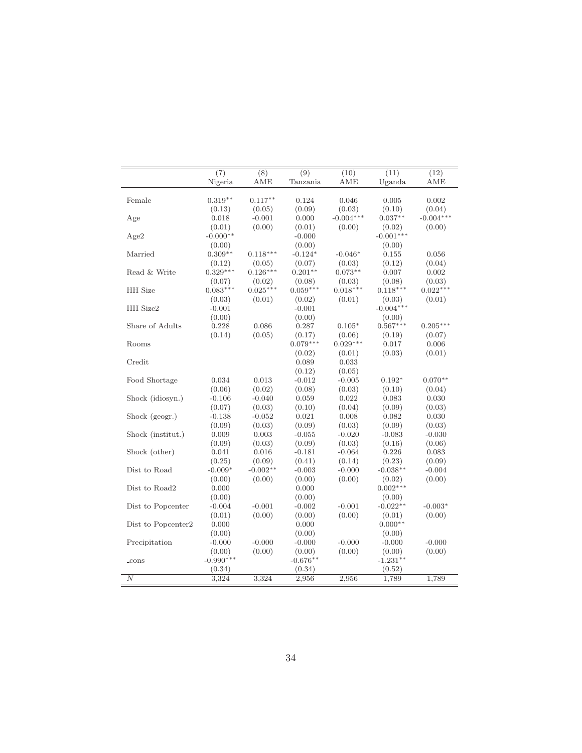|                    | $\overline{(7)}$<br>Nigeria | $\overline{(8)}$<br>AME | $\overline{(9)}$<br>Tanzania | (10)<br>AME | (11)<br>Uganda | (12)<br>AME |
|--------------------|-----------------------------|-------------------------|------------------------------|-------------|----------------|-------------|
| Female             | $0.319**$                   | $0.117**$               | 0.124                        | 0.046       | 0.005          | 0.002       |
|                    | (0.13)                      | (0.05)                  | (0.09)                       | (0.03)      | (0.10)         | (0.04)      |
| Age                | 0.018                       | $-0.001$                | 0.000                        | $-0.004***$ | $0.037**$      | $-0.004***$ |
|                    | (0.01)                      | (0.00)                  | (0.01)                       | (0.00)      | (0.02)         | (0.00)      |
| Age2               | $-0.000**$                  |                         | $-0.000$                     |             | $-0.001***$    |             |
|                    | (0.00)                      |                         | (0.00)                       |             | (0.00)         |             |
| Married            | $0.309**$                   | $0.118***$              | $-0.124*$                    | $-0.046*$   | 0.155          | 0.056       |
|                    | (0.12)                      | (0.05)                  | (0.07)                       | (0.03)      | (0.12)         | (0.04)      |
| Read & Write       | $0.329***$                  | $0.126***$              | $0.201**$                    | $0.073**$   | 0.007          | 0.002       |
|                    | (0.07)                      | (0.02)                  | (0.08)                       | (0.03)      | (0.08)         | (0.03)      |
| HH Size            | $0.083***$                  | $0.025***$              | $0.059***$                   | $0.018***$  | $0.118***$     | $0.022***$  |
|                    | (0.03)                      | (0.01)                  | (0.02)                       | (0.01)      | (0.03)         | (0.01)      |
| HH Size2           | $-0.001$                    |                         | $-0.001$                     |             | $-0.004***$    |             |
|                    | (0.00)                      |                         | (0.00)                       |             | (0.00)         |             |
| Share of Adults    | 0.228                       | 0.086                   | $0.287\,$                    | $0.105*$    | $0.567***$     | $0.205***$  |
|                    | (0.14)                      | (0.05)                  | (0.17)                       | (0.06)      | (0.19)         | (0.07)      |
| Rooms              |                             |                         | $0.079***$                   | $0.029***$  | 0.017          | 0.006       |
|                    |                             |                         | (0.02)                       | (0.01)      | (0.03)         | (0.01)      |
| Credit             |                             |                         | 0.089                        | 0.033       |                |             |
|                    |                             |                         | (0.12)                       | (0.05)      |                |             |
| Food Shortage      | 0.034                       | 0.013                   | $-0.012$                     | $-0.005$    | $0.192*$       | $0.070**$   |
|                    | (0.06)                      | (0.02)                  | (0.08)                       | (0.03)      | (0.10)         | (0.04)      |
| Shock (idiosyn.)   | $-0.106$                    | $-0.040$                | 0.059                        | 0.022       | 0.083          | 0.030       |
|                    | (0.07)                      | (0.03)                  | (0.10)                       | (0.04)      | (0.09)         | (0.03)      |
| Shock (geogr.)     | $-0.138$                    | $-0.052$                | 0.021                        | 0.008       | 0.082          | 0.030       |
|                    | (0.09)                      | (0.03)                  | (0.09)                       | (0.03)      | (0.09)         | (0.03)      |
| Shock (institut.)  | 0.009                       | 0.003                   | $-0.055$                     | $-0.020$    | $-0.083$       | $-0.030$    |
|                    | (0.09)                      | (0.03)                  | (0.09)                       | (0.03)      | (0.16)         | (0.06)      |
| Shock (other)      | 0.041                       | 0.016                   | $-0.181$                     | $-0.064$    | 0.226          | 0.083       |
|                    | (0.25)                      | (0.09)                  | (0.41)                       | (0.14)      | (0.23)         | (0.09)      |
| Dist to Road       | $-0.009*$                   | $-0.002**$              | $-0.003$                     | $-0.000$    | $-0.038**$     | $-0.004$    |
|                    | (0.00)                      | (0.00)                  | (0.00)                       | (0.00)      | (0.02)         | (0.00)      |
| Dist to Road2      | 0.000                       |                         | 0.000                        |             | $0.002***$     |             |
|                    | (0.00)                      |                         | (0.00)                       |             | (0.00)         |             |
| Dist to Popcenter  | $-0.004$                    | $-0.001$                | $-0.002$                     | $-0.001$    | $-0.022**$     | $-0.003*$   |
|                    | (0.01)                      | (0.00)                  | (0.00)                       | (0.00)      | (0.01)         | (0.00)      |
| Dist to Popcenter2 | 0.000                       |                         | 0.000                        |             | $0.000**$      |             |
|                    | (0.00)                      |                         | (0.00)                       |             | (0.00)         |             |
| Precipitation      | $-0.000$                    | $-0.000$                | $-0.000$                     | $-0.000$    | $-0.000$       | $-0.000$    |
|                    | (0.00)                      | (0.00)                  | (0.00)                       | (0.00)      | (0.00)         | (0.00)      |
| $\_cons$           | $-0.990***$                 |                         | $-0.676**$                   |             | $-1.231**$     |             |
|                    | (0.34)                      |                         | (0.34)                       |             | (0.52)         |             |
| $\boldsymbol{N}$   | 3,324                       | 3,324                   | 2,956                        | 2,956       | 1,789          | 1,789       |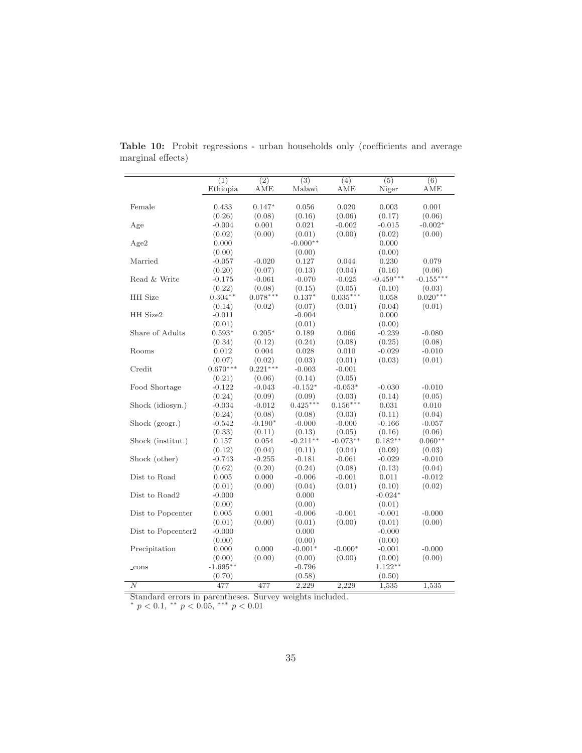|                    | $\overline{(1)}$ | $\overline{(2)}$ | $\overline{(3)}$ | (4)        | $\overline{(5)}$ | $\overline{(6)}$ |
|--------------------|------------------|------------------|------------------|------------|------------------|------------------|
|                    | Ethiopia         | AME              | Malawi           | AME        | Niger            | AME              |
|                    |                  |                  |                  |            |                  |                  |
| Female             | 0.433            | $0.147*$         | 0.056            | 0.020      | 0.003            | 0.001            |
|                    | (0.26)           | (0.08)           | (0.16)           | (0.06)     | (0.17)           | (0.06)           |
| Age                | $-0.004$         | 0.001            | 0.021            | $-0.002$   | $-0.015$         | $-0.002*$        |
|                    | (0.02)           | (0.00)           | (0.01)           | (0.00)     | (0.02)           | (0.00)           |
| Age2               | 0.000            |                  | $-0.000**$       |            | 0.000            |                  |
|                    | (0.00)           |                  | (0.00)           |            | (0.00)           |                  |
| Married            | $-0.057$         | $-0.020$         | 0.127            | 0.044      | 0.230            | 0.079            |
|                    | (0.20)           | (0.07)           | (0.13)           | (0.04)     | (0.16)           | (0.06)           |
| Read & Write       | $-0.175$         | $-0.061$         | $-0.070$         | $-0.025$   | $-0.459***$      | $-0.155***$      |
|                    | (0.22)           | (0.08)           | (0.15)           | (0.05)     | (0.10)           | (0.03)           |
| HH Size            | $0.304**$        | $0.078***$       | $0.137*$         | $0.035***$ | 0.058            | $0.020***$       |
|                    | (0.14)           | (0.02)           | (0.07)           | (0.01)     | (0.04)           | (0.01)           |
| HH Size2           | $-0.011$         |                  | $-0.004$         |            | 0.000            |                  |
|                    | (0.01)           |                  | (0.01)           |            | (0.00)           |                  |
| Share of Adults    | $0.593*$         | $0.205*$         | 0.189            | 0.066      | $-0.239$         | $-0.080$         |
|                    | (0.34)           | (0.12)           | (0.24)           | (0.08)     | (0.25)           | (0.08)           |
| Rooms              | 0.012            | 0.004            | 0.028            | 0.010      | $-0.029$         | $-0.010$         |
|                    | (0.07)           | (0.02)           | (0.03)           | (0.01)     | (0.03)           | (0.01)           |
| Credit             | $0.670***$       | $0.221***$       | $-0.003$         | $-0.001$   |                  |                  |
|                    | (0.21)           | (0.06)           | (0.14)           | (0.05)     |                  |                  |
| Food Shortage      | $-0.122$         | $-0.043$         | $-0.152*$        | $-0.053*$  | $-0.030$         | $-0.010$         |
|                    | (0.24)           | (0.09)           | (0.09)           | (0.03)     | (0.14)           | (0.05)           |
| Shock (idiosyn.)   | $-0.034$         | $-0.012$         | $0.425***$       | $0.156***$ | 0.031            | 0.010            |
|                    | (0.24)           | (0.08)           | (0.08)           | (0.03)     | (0.11)           | (0.04)           |
| Shock (geogr.)     | $-0.542$         | $-0.190*$        | $-0.000$         | $-0.000$   | $-0.166$         | $-0.057$         |
|                    | (0.33)           | (0.11)           | (0.13)           | (0.05)     | (0.16)           | (0.06)           |
| Shock (institut.)  | 0.157            | 0.054            | $-0.211**$       | $-0.073**$ | $0.182**$        | $0.060**$        |
|                    | (0.12)           | (0.04)           | (0.11)           | (0.04)     | (0.09)           | (0.03)           |
| Shock (other)      | $-0.743$         | $-0.255$         | $-0.181$         | $-0.061$   | $-0.029$         | $-0.010$         |
|                    | (0.62)           | (0.20)           | (0.24)           | (0.08)     | (0.13)           | (0.04)           |
| Dist to Road       | 0.005            | 0.000            | $-0.006$         | $-0.001$   | 0.011            | $-0.012$         |
|                    | (0.01)           | (0.00)           | (0.04)           | (0.01)     | (0.10)           | (0.02)           |
| Dist to Road2      | $-0.000$         |                  | 0.000            |            | $-0.024*$        |                  |
|                    | (0.00)           |                  | (0.00)           |            | (0.01)           |                  |
| Dist to Popcenter  | 0.005            | 0.001            | $-0.006$         | $-0.001$   | $-0.001$         | $-0.000$         |
|                    | (0.01)           | (0.00)           | (0.01)           | (0.00)     | (0.01)           | (0.00)           |
| Dist to Popcenter2 | $-0.000$         |                  | 0.000            |            | $-0.000$         |                  |
|                    | (0.00)           |                  | (0.00)           |            | (0.00)           |                  |
| Precipitation      | 0.000            | 0.000            | $-0.001*$        | $-0.000*$  | $-0.001$         | $-0.000$         |
|                    | (0.00)           | (0.00)           | (0.00)           | (0.00)     | (0.00)           | (0.00)           |
| $_{\rm cons}$      | $-1.695**$       |                  | $-0.796$         |            | $1.122**$        |                  |
|                    | (0.70)           |                  | (0.58)           |            | (0.50)           |                  |
| $\overline{N}$     | 477              | 477              | 2,229            | 2,229      | 1,535            | 1,535            |

<span id="page-37-0"></span>Table 10: Probit regressions - urban households only (coefficients and average marginal effects)

Standard errors in parentheses. Survey weights included.  $* p < 0.1, ** p < 0.05, *** p < 0.01$